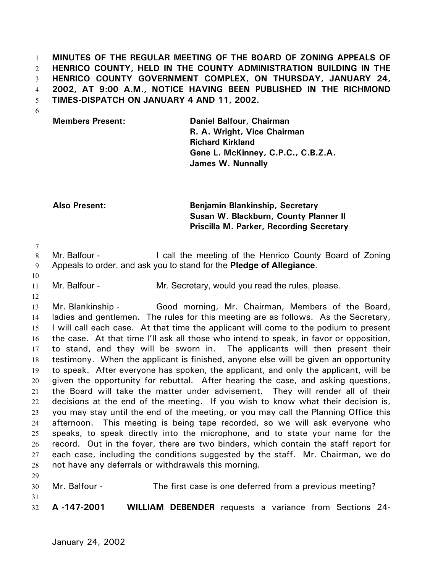**MINUTES OF THE REGULAR MEETING OF THE BOARD OF ZONING APPEALS OF HENRICO COUNTY, HELD IN THE COUNTY ADMINISTRATION BUILDING IN THE HENRICO COUNTY GOVERNMENT COMPLEX, ON THURSDAY, JANUARY 24, 2002, AT 9:00 A.M., NOTICE HAVING BEEN PUBLISHED IN THE RICHMOND TIMES-DISPATCH ON JANUARY 4 AND 11, 2002.**  1 2 3 4 5

6

**Members Present: Daniel Balfour, Chairman R. A. Wright, Vice Chairman Richard Kirkland Gene L. McKinney, C.P.C., C.B.Z.A. James W. Nunnally**

**Also Present: Benjamin Blankinship, Secretary Susan W. Blackburn, County Planner II Priscilla M. Parker, Recording Secretary** 

7

10

12

29

8 9 Mr. Balfour - The call the meeting of the Henrico County Board of Zoning Appeals to order, and ask you to stand for the **Pledge of Allegiance**.

11 Mr. Balfour - The Mr. Secretary, would you read the rules, please.

13 14 15 16 17 18 19 20 21 22 23 24 25 26 27 28 Mr. Blankinship - Good morning, Mr. Chairman, Members of the Board, ladies and gentlemen. The rules for this meeting are as follows. As the Secretary, I will call each case. At that time the applicant will come to the podium to present the case. At that time I'll ask all those who intend to speak, in favor or opposition, to stand, and they will be sworn in. The applicants will then present their testimony. When the applicant is finished, anyone else will be given an opportunity to speak. After everyone has spoken, the applicant, and only the applicant, will be given the opportunity for rebuttal. After hearing the case, and asking questions, the Board will take the matter under advisement. They will render all of their decisions at the end of the meeting. If you wish to know what their decision is, you may stay until the end of the meeting, or you may call the Planning Office this afternoon. This meeting is being tape recorded, so we will ask everyone who speaks, to speak directly into the microphone, and to state your name for the record. Out in the foyer, there are two binders, which contain the staff report for each case, including the conditions suggested by the staff. Mr. Chairman, we do not have any deferrals or withdrawals this morning.

30 31 32 Mr. Balfour - The first case is one deferred from a previous meeting? **A -147-2001 WILLIAM DEBENDER** requests a variance from Sections 24-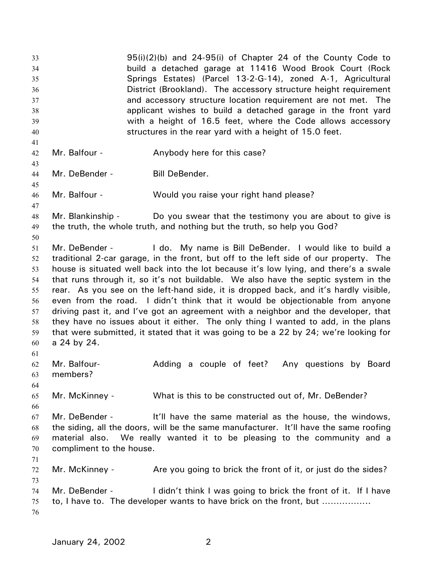95(i)(2)(b) and 24-95(i) of Chapter 24 of the County Code to build a detached garage at 11416 Wood Brook Court (Rock Springs Estates) (Parcel 13-2-G-14), zoned A-1, Agricultural District (Brookland). The accessory structure height requirement and accessory structure location requirement are not met. The applicant wishes to build a detached garage in the front yard with a height of 16.5 feet, where the Code allows accessory structures in the rear yard with a height of 15.0 feet. 33 34 35 36 37 38 39 40 41 42 43 44 45 46 47 48 49 50 51 52 53 54 55 56 57 58 59 60 61 62 63 64 65 66 67 68 69 70 71 72 73 74 75 76 Mr. Balfour - Anybody here for this case? Mr. DeBender - Bill DeBender. Mr. Balfour - Would you raise your right hand please? Mr. Blankinship - Do you swear that the testimony you are about to give is the truth, the whole truth, and nothing but the truth, so help you God? Mr. DeBender - I do. My name is Bill DeBender. I would like to build a traditional 2-car garage, in the front, but off to the left side of our property. The house is situated well back into the lot because it's low lying, and there's a swale that runs through it, so it's not buildable. We also have the septic system in the rear. As you see on the left-hand side, it is dropped back, and it's hardly visible, even from the road. I didn't think that it would be objectionable from anyone driving past it, and I've got an agreement with a neighbor and the developer, that they have no issues about it either. The only thing I wanted to add, in the plans that were submitted, it stated that it was going to be a 22 by 24; we're looking for a 24 by 24. Mr. Balfour- **Adding a couple of feet?** Any questions by Board members? Mr. McKinney - What is this to be constructed out of, Mr. DeBender? Mr. DeBender - It'll have the same material as the house, the windows, the siding, all the doors, will be the same manufacturer. It'll have the same roofing material also. We really wanted it to be pleasing to the community and a compliment to the house. Mr. McKinney - Are you going to brick the front of it, or just do the sides? Mr. DeBender - I didn't think I was going to brick the front of it. If I have to, I have to. The developer wants to have brick on the front, but ……………..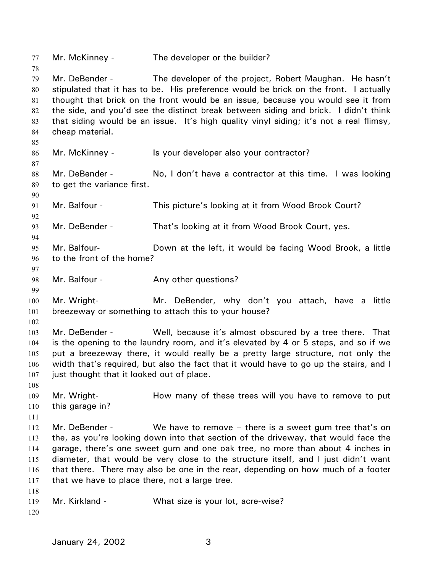77 Mr. McKinney - The developer or the builder? 78 79 80 81 82 83 84 85 86 87 88 89 90 91 92 93 94 95 96 97 98 99 100 101 102 103 104 105 106 107 108 109 110 111 112 113 114 115 116 117 118 119 120 Mr. DeBender - The developer of the project, Robert Maughan. He hasn't stipulated that it has to be. His preference would be brick on the front. I actually thought that brick on the front would be an issue, because you would see it from the side, and you'd see the distinct break between siding and brick. I didn't think that siding would be an issue. It's high quality vinyl siding; it's not a real flimsy, cheap material. Mr. McKinney - Is your developer also your contractor? Mr. DeBender - No, I don't have a contractor at this time. I was looking to get the variance first. Mr. Balfour - This picture's looking at it from Wood Brook Court? Mr. DeBender - That's looking at it from Wood Brook Court, yes. Mr. Balfour- Down at the left, it would be facing Wood Brook, a little to the front of the home? Mr. Balfour - The Any other questions? Mr. Wright- **Mr.** DeBender, why don't you attach, have a little breezeway or something to attach this to your house? Mr. DeBender - Well, because it's almost obscured by a tree there. That is the opening to the laundry room, and it's elevated by 4 or 5 steps, and so if we put a breezeway there, it would really be a pretty large structure, not only the width that's required, but also the fact that it would have to go up the stairs, and I just thought that it looked out of place. Mr. Wright- **How many of these trees will you have to remove to put** this garage in? Mr. DeBender - We have to remove – there is a sweet gum tree that's on the, as you're looking down into that section of the driveway, that would face the garage, there's one sweet gum and one oak tree, no more than about 4 inches in diameter, that would be very close to the structure itself, and I just didn't want that there. There may also be one in the rear, depending on how much of a footer that we have to place there, not a large tree. Mr. Kirkland - What size is your lot, acre-wise?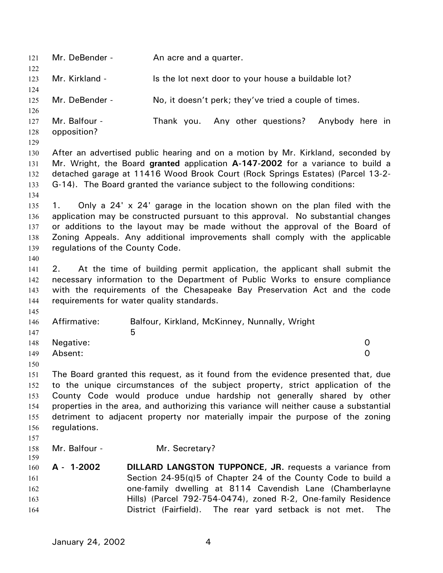121 Mr. DeBender - An acre and a quarter. 122 123 124 125 126 127 128 129 130 131 132 133 134 135 136 137 138 139 140 141 142 143 144 145 146 147 148 149 150 151 152 153 154 155 156 157 158 159 160 161 162 163 164 Mr. Kirkland - Is the lot next door to your house a buildable lot? Mr. DeBender - No, it doesn't perk; they've tried a couple of times. Mr. Balfour - Thank you. Any other questions? Anybody here in opposition? After an advertised public hearing and on a motion by Mr. Kirkland, seconded by Mr. Wright, the Board **granted** application **A-147-2002** for a variance to build a detached garage at 11416 Wood Brook Court (Rock Springs Estates) (Parcel 13-2- G-14). The Board granted the variance subject to the following conditions: 1. Only a 24' x 24' garage in the location shown on the plan filed with the application may be constructed pursuant to this approval. No substantial changes or additions to the layout may be made without the approval of the Board of Zoning Appeals. Any additional improvements shall comply with the applicable regulations of the County Code. 2. At the time of building permit application, the applicant shall submit the necessary information to the Department of Public Works to ensure compliance with the requirements of the Chesapeake Bay Preservation Act and the code requirements for water quality standards. Affirmative: Balfour, Kirkland, McKinney, Nunnally, Wright  $\sim$  5 Negative: 0 Absent: 0 The Board granted this request, as it found from the evidence presented that, due to the unique circumstances of the subject property, strict application of the County Code would produce undue hardship not generally shared by other properties in the area, and authorizing this variance will neither cause a substantial detriment to adjacent property nor materially impair the purpose of the zoning regulations. Mr. Balfour - Mr. Secretary? **A - 1-2002 DILLARD LANGSTON TUPPONCE, JR.** requests a variance from Section 24-95(q)5 of Chapter 24 of the County Code to build a one-family dwelling at 8114 Cavendish Lane (Chamberlayne Hills) (Parcel 792-754-0474), zoned R-2, One-family Residence District (Fairfield). The rear yard setback is not met. The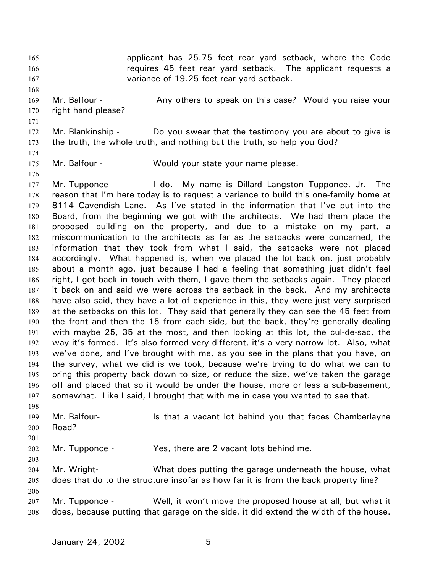applicant has 25.75 feet rear yard setback, where the Code requires 45 feet rear yard setback. The applicant requests a variance of 19.25 feet rear yard setback. 165 166 167

- 169 170 Mr. Balfour - **Any others to speak on this case?** Would you raise your right hand please?
- 171

168

172 173 Mr. Blankinship - Do you swear that the testimony you are about to give is the truth, the whole truth, and nothing but the truth, so help you God?

- 174
- 175 176 Mr. Balfour - Would your state your name please.

177 178 179 180 181 182 183 184 185 186 187 188 189 190 191 192 193 194 195 196 197 Mr. Tupponce - I do. My name is Dillard Langston Tupponce, Jr. The reason that I'm here today is to request a variance to build this one-family home at 8114 Cavendish Lane. As I've stated in the information that I've put into the Board, from the beginning we got with the architects. We had them place the proposed building on the property, and due to a mistake on my part, a miscommunication to the architects as far as the setbacks were concerned, the information that they took from what I said, the setbacks were not placed accordingly. What happened is, when we placed the lot back on, just probably about a month ago, just because I had a feeling that something just didn't feel right, I got back in touch with them, I gave them the setbacks again. They placed it back on and said we were across the setback in the back. And my architects have also said, they have a lot of experience in this, they were just very surprised at the setbacks on this lot. They said that generally they can see the 45 feet from the front and then the 15 from each side, but the back, they're generally dealing with maybe 25, 35 at the most, and then looking at this lot, the cul-de-sac, the way it's formed. It's also formed very different, it's a very narrow lot. Also, what we've done, and I've brought with me, as you see in the plans that you have, on the survey, what we did is we took, because we're trying to do what we can to bring this property back down to size, or reduce the size, we've taken the garage off and placed that so it would be under the house, more or less a sub-basement, somewhat. Like I said, I brought that with me in case you wanted to see that.

198 199 200 Mr. Balfour- **Is that a vacant lot behind you that faces Chamberlayne** Road?

201

202 Mr. Tupponce - Yes, there are 2 vacant lots behind me.

203

204 205 206 Mr. Wright- What does putting the garage underneath the house, what does that do to the structure insofar as how far it is from the back property line?

207 208 Mr. Tupponce - Well, it won't move the proposed house at all, but what it does, because putting that garage on the side, it did extend the width of the house.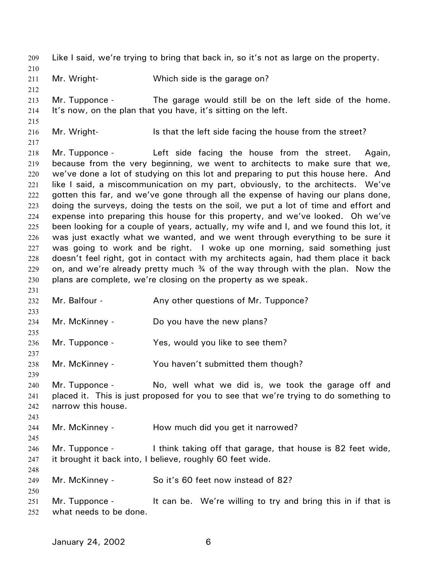209 Like I said, we're trying to bring that back in, so it's not as large on the property. 210

211 Mr. Wright- Which side is the garage on?

213 214 Mr. Tupponce - The garage would still be on the left side of the home. It's now, on the plan that you have, it's sitting on the left.

215 216

212

- Mr. Wright- Is that the left side facing the house from the street?
- 217

231

233

235

237

239

243

245

248

250

218 219 220 221 222 223 224 225 226 227 228 229 230 Mr. Tupponce - Left side facing the house from the street. Again, because from the very beginning, we went to architects to make sure that we, we've done a lot of studying on this lot and preparing to put this house here. And like I said, a miscommunication on my part, obviously, to the architects. We've gotten this far, and we've gone through all the expense of having our plans done, doing the surveys, doing the tests on the soil, we put a lot of time and effort and expense into preparing this house for this property, and we've looked. Oh we've been looking for a couple of years, actually, my wife and I, and we found this lot, it was just exactly what we wanted, and we went through everything to be sure it was going to work and be right. I woke up one morning, said something just doesn't feel right, got in contact with my architects again, had them place it back on, and we're already pretty much  $\frac{3}{4}$  of the way through with the plan. Now the plans are complete, we're closing on the property as we speak.

- 232 Mr. Balfour - Any other questions of Mr. Tupponce?
- 234 Mr. McKinney - Do you have the new plans?
- 236 Mr. Tupponce - Yes, would you like to see them?
- 238 Mr. McKinney - You haven't submitted them though?
- 240 241 242 Mr. Tupponce - No, well what we did is, we took the garage off and placed it. This is just proposed for you to see that we're trying to do something to narrow this house.
- 244 Mr. McKinney - How much did you get it narrowed?
- 246 247 Mr. Tupponce - I think taking off that garage, that house is 82 feet wide, it brought it back into, I believe, roughly 60 feet wide.
- 249 Mr. McKinney - So it's 60 feet now instead of 82?
- 251 252 Mr. Tupponce - It can be. We're willing to try and bring this in if that is what needs to be done.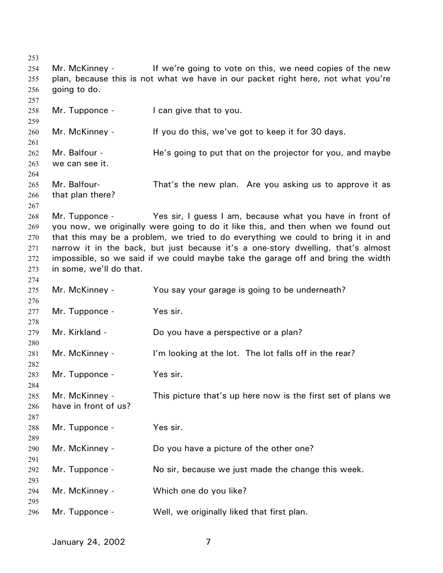Mr. McKinney - If we're going to vote on this, we need copies of the new plan, because this is not what we have in our packet right here, not what you're going to do. Mr. Tupponce - I can give that to you. Mr. McKinney - If you do this, we've got to keep it for 30 days. Mr. Balfour - He's going to put that on the projector for you, and maybe we can see it. Mr. Balfour- That's the new plan. Are you asking us to approve it as that plan there? Mr. Tupponce - Yes sir, I guess I am, because what you have in front of you now, we originally were going to do it like this, and then when we found out that this may be a problem, we tried to do everything we could to bring it in and narrow it in the back, but just because it's a one-story dwelling, that's almost impossible, so we said if we could maybe take the garage off and bring the width in some, we'll do that. Mr. McKinney - You say your garage is going to be underneath? Mr. Tupponce - Yes sir. Mr. Kirkland - Do you have a perspective or a plan? Mr. McKinney - I'm looking at the lot. The lot falls off in the rear? Mr. Tupponce - Yes sir. Mr. McKinney - This picture that's up here now is the first set of plans we have in front of us? Mr. Tupponce - Yes sir. Mr. McKinney - Do you have a picture of the other one? Mr. Tupponce - No sir, because we just made the change this week. Mr. McKinney - Which one do you like? Mr. Tupponce - Well, we originally liked that first plan.

January 24, 2002 7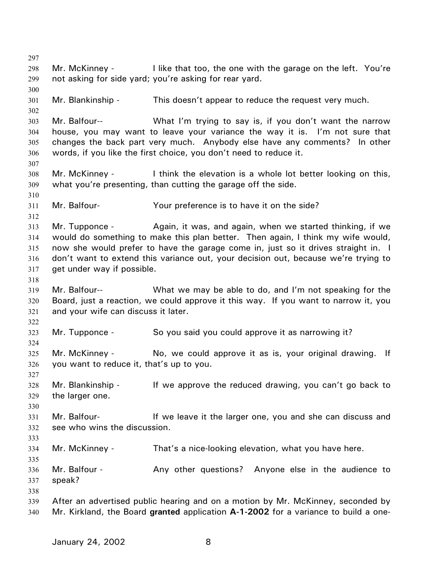297 298 299 300 301 302 303 304 305 306 307 308 309 310 311 312 313 314 315 316 317 318 319 320 321 322 323 324 325 326 327 328 329 330 331 332 333 334 335 336 337 338 339 340 Mr. McKinney - I like that too, the one with the garage on the left. You're not asking for side yard; you're asking for rear yard. Mr. Blankinship - This doesn't appear to reduce the request very much. Mr. Balfour-- What I'm trying to say is, if you don't want the narrow house, you may want to leave your variance the way it is. I'm not sure that changes the back part very much. Anybody else have any comments? In other words, if you like the first choice, you don't need to reduce it. Mr. McKinney - I think the elevation is a whole lot better looking on this, what you're presenting, than cutting the garage off the side. Mr. Balfour- Your preference is to have it on the side? Mr. Tupponce - Again, it was, and again, when we started thinking, if we would do something to make this plan better. Then again, I think my wife would, now she would prefer to have the garage come in, just so it drives straight in. I don't want to extend this variance out, your decision out, because we're trying to get under way if possible. Mr. Balfour-- What we may be able to do, and I'm not speaking for the Board, just a reaction, we could approve it this way. If you want to narrow it, you and your wife can discuss it later. Mr. Tupponce - So you said you could approve it as narrowing it? Mr. McKinney - No, we could approve it as is, your original drawing. If you want to reduce it, that's up to you. Mr. Blankinship - If we approve the reduced drawing, you can't go back to the larger one. Mr. Balfour- **If we leave it the larger one, you and she can discuss and** see who wins the discussion. Mr. McKinney - That's a nice-looking elevation, what you have here. Mr. Balfour - The Any other questions? Anyone else in the audience to speak? After an advertised public hearing and on a motion by Mr. McKinney, seconded by Mr. Kirkland, the Board **granted** application **A-1-2002** for a variance to build a one-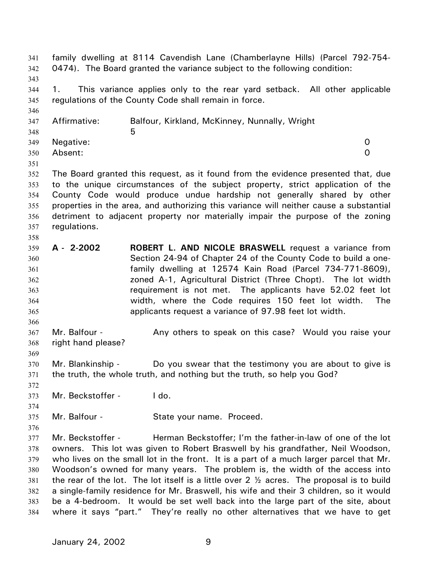family dwelling at 8114 Cavendish Lane (Chamberlayne Hills) (Parcel 792-754- 0474). The Board granted the variance subject to the following condition: 341 342 343 344 345 346 347 348 349 350 351 352 353 354 355 356 357 358 359 360 361 362 363 364 365 366 367 368 369 370 371 372 373 374 375 376 377 378 379 380 381 382 383 384 1. This variance applies only to the rear yard setback. All other applicable regulations of the County Code shall remain in force. Affirmative: Balfour, Kirkland, McKinney, Nunnally, Wright  $5<sub>5</sub>$ Negative: 0 Absent: 0 The Board granted this request, as it found from the evidence presented that, due to the unique circumstances of the subject property, strict application of the County Code would produce undue hardship not generally shared by other properties in the area, and authorizing this variance will neither cause a substantial detriment to adjacent property nor materially impair the purpose of the zoning regulations. **A - 2-2002 ROBERT L. AND NICOLE BRASWELL** request a variance from Section 24-94 of Chapter 24 of the County Code to build a onefamily dwelling at 12574 Kain Road (Parcel 734-771-8609), zoned A-1, Agricultural District (Three Chopt). The lot width requirement is not met. The applicants have 52.02 feet lot width, where the Code requires 150 feet lot width. The applicants request a variance of 97.98 feet lot width. Mr. Balfour - Any others to speak on this case? Would you raise your right hand please? Mr. Blankinship - Do you swear that the testimony you are about to give is the truth, the whole truth, and nothing but the truth, so help you God? Mr. Beckstoffer - I do. Mr. Balfour - State your name. Proceed. Mr. Beckstoffer - Herman Beckstoffer; I'm the father-in-law of one of the lot owners. This lot was given to Robert Braswell by his grandfather, Neil Woodson, who lives on the small lot in the front. It is a part of a much larger parcel that Mr. Woodson's owned for many years. The problem is, the width of the access into the rear of the lot. The lot itself is a little over 2  $\frac{1}{2}$  acres. The proposal is to build a single-family residence for Mr. Braswell, his wife and their 3 children, so it would be a 4-bedroom. It would be set well back into the large part of the site, about where it says "part." They're really no other alternatives that we have to get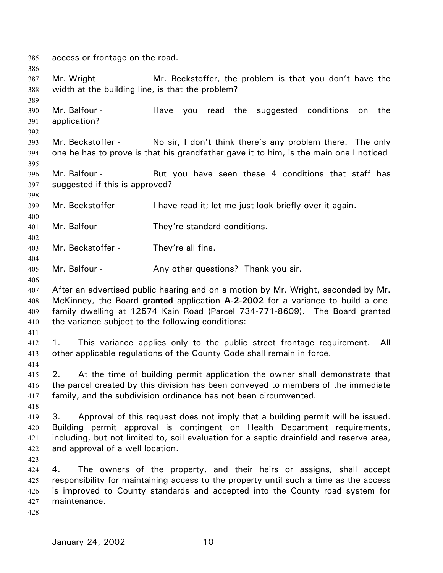385 access or frontage on the road.

387 388 Mr. Wright- Mr. Beckstoffer, the problem is that you don't have the width at the building line, is that the problem?

390 391 Mr. Balfour - Have you read the suggested conditions on the application?

392

398

400

402

404

406

386

389

- 393 394 395 Mr. Beckstoffer - No sir, I don't think there's any problem there. The only one he has to prove is that his grandfather gave it to him, is the main one I noticed
- 396 397 Mr. Balfour - But you have seen these 4 conditions that staff has suggested if this is approved?

399 Mr. Beckstoffer - I have read it; let me just look briefly over it again.

401 Mr. Balfour - They're standard conditions.

403 Mr. Beckstoffer - They're all fine.

- 405 Mr. Balfour - Any other questions? Thank you sir.
- 407 408 409 410 After an advertised public hearing and on a motion by Mr. Wright, seconded by Mr. McKinney, the Board **granted** application **A-2-2002** for a variance to build a onefamily dwelling at 12574 Kain Road (Parcel 734-771-8609). The Board granted the variance subject to the following conditions:
- 411

412 413 1. This variance applies only to the public street frontage requirement. All other applicable regulations of the County Code shall remain in force.

414

415 416 417 2. At the time of building permit application the owner shall demonstrate that the parcel created by this division has been conveyed to members of the immediate family, and the subdivision ordinance has not been circumvented.

418

419 420 421 422 3. Approval of this request does not imply that a building permit will be issued. Building permit approval is contingent on Health Department requirements, including, but not limited to, soil evaluation for a septic drainfield and reserve area, and approval of a well location.

423

424 425 426 427 4. The owners of the property, and their heirs or assigns, shall accept responsibility for maintaining access to the property until such a time as the access is improved to County standards and accepted into the County road system for maintenance.

428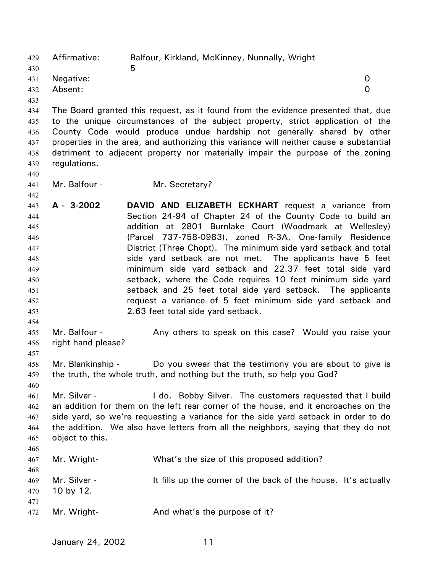Affirmative: Balfour, Kirkland, McKinney, Nunnally, Wright  $\sim$  5 429 430 431 432 433 434 435 436 437 438 439 440 441 442 443 444 445 446 447 448 449 450 451 452 453 454 455 456 457 458 459 460 461 462 463 464 465 466 467 468 469 470 471 472 Negative: 0 Absent: 0 The Board granted this request, as it found from the evidence presented that, due to the unique circumstances of the subject property, strict application of the County Code would produce undue hardship not generally shared by other properties in the area, and authorizing this variance will neither cause a substantial detriment to adjacent property nor materially impair the purpose of the zoning regulations. Mr. Balfour - Mr. Secretary? **A - 3-2002 DAVID AND ELIZABETH ECKHART** request a variance from Section 24-94 of Chapter 24 of the County Code to build an addition at 2801 Burnlake Court (Woodmark at Wellesley) (Parcel 737-758-0983), zoned R-3A, One-family Residence District (Three Chopt). The minimum side yard setback and total side yard setback are not met. The applicants have 5 feet minimum side yard setback and 22.37 feet total side yard setback, where the Code requires 10 feet minimum side yard setback and 25 feet total side yard setback. The applicants request a variance of 5 feet minimum side yard setback and 2.63 feet total side yard setback. Mr. Balfour - Any others to speak on this case? Would you raise your right hand please? Mr. Blankinship - Do you swear that the testimony you are about to give is the truth, the whole truth, and nothing but the truth, so help you God? Mr. Silver - The Collective Collection Collection Collection Collection Collection Collection Collection Collection Collection Collection Collection Collection Collection Collection Collection Collection Collection Collect an addition for them on the left rear corner of the house, and it encroaches on the side yard, so we're requesting a variance for the side yard setback in order to do the addition. We also have letters from all the neighbors, saying that they do not object to this. Mr. Wright- What's the size of this proposed addition? Mr. Silver - It fills up the corner of the back of the house. It's actually 10 by 12. Mr. Wright- **And what's the purpose of it?**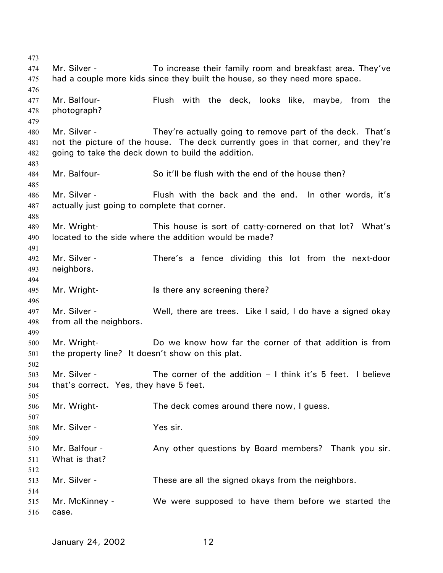Mr. Silver - To increase their family room and breakfast area. They've had a couple more kids since they built the house, so they need more space. Mr. Balfour- Flush with the deck, looks like, maybe, from the photograph? Mr. Silver - They're actually going to remove part of the deck. That's not the picture of the house. The deck currently goes in that corner, and they're going to take the deck down to build the addition. Mr. Balfour- So it'll be flush with the end of the house then? Mr. Silver - Thush with the back and the end. In other words, it's actually just going to complete that corner. Mr. Wright- This house is sort of catty-cornered on that lot? What's located to the side where the addition would be made? Mr. Silver - There's a fence dividing this lot from the next-door neighbors. Mr. Wright- Is there any screening there? Mr. Silver - Well, there are trees. Like I said, I do have a signed okay from all the neighbors. Mr. Wright- **Do** we know how far the corner of that addition is from the property line? It doesn't show on this plat. Mr. Silver - The corner of the addition – I think it's 5 feet. I believe that's correct. Yes, they have 5 feet. Mr. Wright- The deck comes around there now, I guess. Mr. Silver - Yes sir. Mr. Balfour - Any other questions by Board members? Thank you sir. What is that? Mr. Silver - These are all the signed okays from the neighbors. Mr. McKinney - We were supposed to have them before we started the case.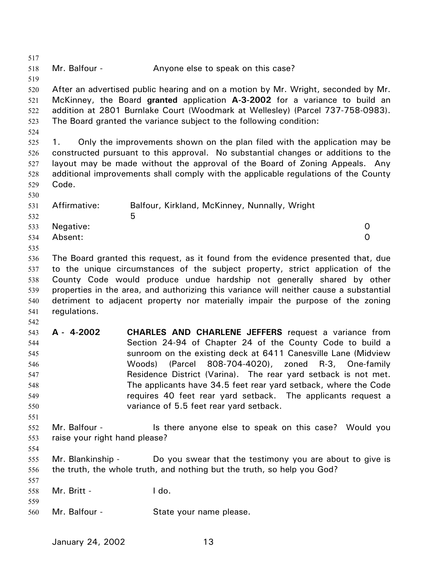517 518 519 520 521 522 523 524 525 526 527 528 529 530 531 532 533 534 535 536 537 538 539 540 541 542 543 544 545 546 547 548 549 550 551 552 553 554 555 556 557 558 559 560 Mr. Balfour - The Anyone else to speak on this case? After an advertised public hearing and on a motion by Mr. Wright, seconded by Mr. McKinney, the Board **granted** application **A-3-2002** for a variance to build an addition at 2801 Burnlake Court (Woodmark at Wellesley) (Parcel 737-758-0983). The Board granted the variance subject to the following condition: 1. Only the improvements shown on the plan filed with the application may be constructed pursuant to this approval. No substantial changes or additions to the layout may be made without the approval of the Board of Zoning Appeals. Any additional improvements shall comply with the applicable regulations of the County Code. Affirmative: Balfour, Kirkland, McKinney, Nunnally, Wright  $\sim$  5 Negative: 0 Absent: 0 The Board granted this request, as it found from the evidence presented that, due to the unique circumstances of the subject property, strict application of the County Code would produce undue hardship not generally shared by other properties in the area, and authorizing this variance will neither cause a substantial detriment to adjacent property nor materially impair the purpose of the zoning regulations. **A - 4-2002 CHARLES AND CHARLENE JEFFERS** request a variance from Section 24-94 of Chapter 24 of the County Code to build a sunroom on the existing deck at 6411 Canesville Lane (Midview Woods) (Parcel 808-704-4020), zoned R-3, One-family Residence District (Varina). The rear yard setback is not met. The applicants have 34.5 feet rear yard setback, where the Code requires 40 feet rear yard setback. The applicants request a variance of 5.5 feet rear yard setback. Mr. Balfour - The state anyone else to speak on this case? Would you raise your right hand please? Mr. Blankinship - Do you swear that the testimony you are about to give is the truth, the whole truth, and nothing but the truth, so help you God? Mr. Britt - I do. Mr. Balfour - State your name please.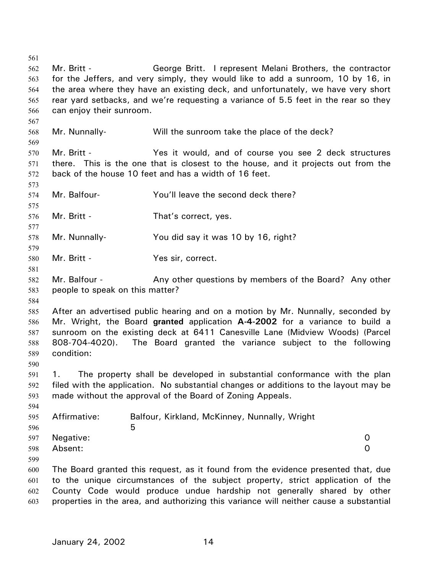561 562 563 564 565 566 567 568 569 570 571 572 573 574 575 576 577 578 579 580 581 582 583 584 585 586 587 588 589 590 591 592 593 594 595 596 597 598 599 600 601 602 603 Mr. Britt - George Britt. I represent Melani Brothers, the contractor for the Jeffers, and very simply, they would like to add a sunroom, 10 by 16, in the area where they have an existing deck, and unfortunately, we have very short rear yard setbacks, and we're requesting a variance of 5.5 feet in the rear so they can enjoy their sunroom. Mr. Nunnally- Will the sunroom take the place of the deck? Mr. Britt - Yes it would, and of course you see 2 deck structures there. This is the one that is closest to the house, and it projects out from the back of the house 10 feet and has a width of 16 feet. Mr. Balfour- You'll leave the second deck there? Mr. Britt - That's correct, yes. Mr. Nunnally-<br>
You did say it was 10 by 16, right? Mr. Britt - Yes sir, correct. Mr. Balfour - Any other questions by members of the Board? Any other people to speak on this matter? After an advertised public hearing and on a motion by Mr. Nunnally, seconded by Mr. Wright, the Board **granted** application **A-4-2002** for a variance to build a sunroom on the existing deck at 6411 Canesville Lane (Midview Woods) (Parcel 808-704-4020). The Board granted the variance subject to the following condition: 1. The property shall be developed in substantial conformance with the plan filed with the application. No substantial changes or additions to the layout may be made without the approval of the Board of Zoning Appeals. Affirmative: Balfour, Kirkland, McKinney, Nunnally, Wright  $5<sub>5</sub>$ Negative: 0 Absent: 0 The Board granted this request, as it found from the evidence presented that, due to the unique circumstances of the subject property, strict application of the County Code would produce undue hardship not generally shared by other properties in the area, and authorizing this variance will neither cause a substantial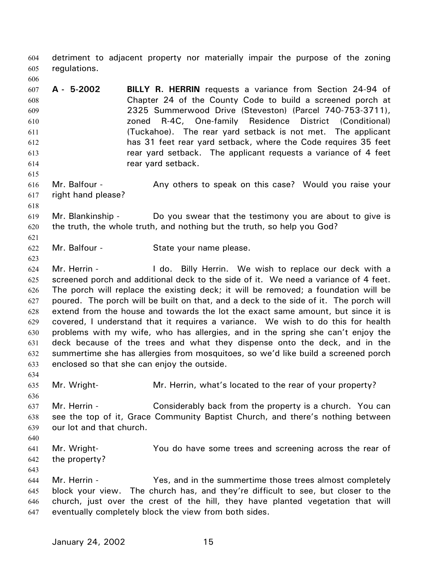detriment to adjacent property nor materially impair the purpose of the zoning regulations. 604 605

607 608 609 610 611 612 613 614 **A - 5-2002 BILLY R. HERRIN** requests a variance from Section 24-94 of Chapter 24 of the County Code to build a screened porch at 2325 Summerwood Drive (Steveston) (Parcel 740-753-3711), zoned R-4C, One-family Residence District (Conditional) (Tuckahoe). The rear yard setback is not met. The applicant has 31 feet rear yard setback, where the Code requires 35 feet rear yard setback. The applicant requests a variance of 4 feet rear yard setback.

616 617 Mr. Balfour - The Any others to speak on this case? Would you raise your right hand please?

619 620 Mr. Blankinship - Do you swear that the testimony you are about to give is the truth, the whole truth, and nothing but the truth, so help you God?

622 Mr. Balfour - State your name please.

624 625 626 627 628 629 630 631 632 633 Mr. Herrin - The Letton Billy Herrin. We wish to replace our deck with a screened porch and additional deck to the side of it. We need a variance of 4 feet. The porch will replace the existing deck; it will be removed; a foundation will be poured. The porch will be built on that, and a deck to the side of it. The porch will extend from the house and towards the lot the exact same amount, but since it is covered, I understand that it requires a variance. We wish to do this for health problems with my wife, who has allergies, and in the spring she can't enjoy the deck because of the trees and what they dispense onto the deck, and in the summertime she has allergies from mosquitoes, so we'd like build a screened porch enclosed so that she can enjoy the outside.

634 635

636

606

615

618

621

623

Mr. Wright- Mr. Herrin, what's located to the rear of your property?

- 637 638 639 Mr. Herrin - Considerably back from the property is a church. You can see the top of it, Grace Community Baptist Church, and there's nothing between our lot and that church.
- 640
- 641 642 Mr. Wright- You do have some trees and screening across the rear of the property?
- 643

644 645 646 647 Mr. Herrin - Yes, and in the summertime those trees almost completely block your view. The church has, and they're difficult to see, but closer to the church, just over the crest of the hill, they have planted vegetation that will eventually completely block the view from both sides.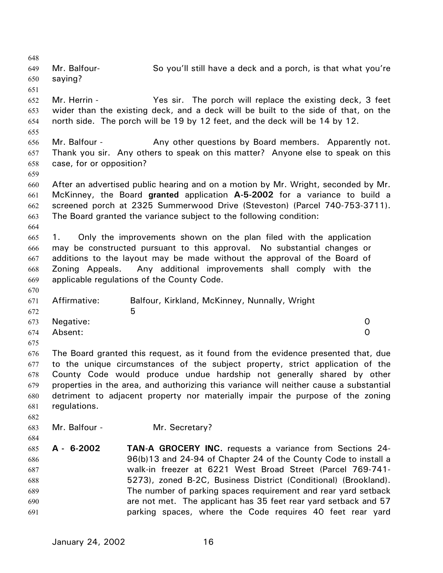648 649 650 651 652 653 654 655 656 657 658 659 660 661 662 663 664 665 666 667 668 669 670 671 672 673 674 675 676 677 678 679 680 681 682 683 684 685 686 687 688 689 690 691 Mr. Balfour- So you'll still have a deck and a porch, is that what you're saying? Mr. Herrin - The sir. The porch will replace the existing deck, 3 feet wider than the existing deck, and a deck will be built to the side of that, on the north side. The porch will be 19 by 12 feet, and the deck will be 14 by 12. Mr. Balfour - Any other questions by Board members. Apparently not. Thank you sir. Any others to speak on this matter? Anyone else to speak on this case, for or opposition? After an advertised public hearing and on a motion by Mr. Wright, seconded by Mr. McKinney, the Board **granted** application **A-5-2002** for a variance to build a screened porch at 2325 Summerwood Drive (Steveston) (Parcel 740-753-3711). The Board granted the variance subject to the following condition: 1. Only the improvements shown on the plan filed with the application may be constructed pursuant to this approval. No substantial changes or additions to the layout may be made without the approval of the Board of Zoning Appeals. Any additional improvements shall comply with the applicable regulations of the County Code. Affirmative: Balfour, Kirkland, McKinney, Nunnally, Wright  $\sim$  5 Negative: 0 Absent: 0 The Board granted this request, as it found from the evidence presented that, due to the unique circumstances of the subject property, strict application of the County Code would produce undue hardship not generally shared by other properties in the area, and authorizing this variance will neither cause a substantial detriment to adjacent property nor materially impair the purpose of the zoning regulations. Mr. Balfour - Mr. Secretary? **A - 6-2002 TAN-A GROCERY INC.** requests a variance from Sections 24- 96(b)13 and 24-94 of Chapter 24 of the County Code to install a walk-in freezer at 6221 West Broad Street (Parcel 769-741- 5273), zoned B-2C, Business District (Conditional) (Brookland). The number of parking spaces requirement and rear yard setback are not met. The applicant has 35 feet rear yard setback and 57 parking spaces, where the Code requires 40 feet rear yard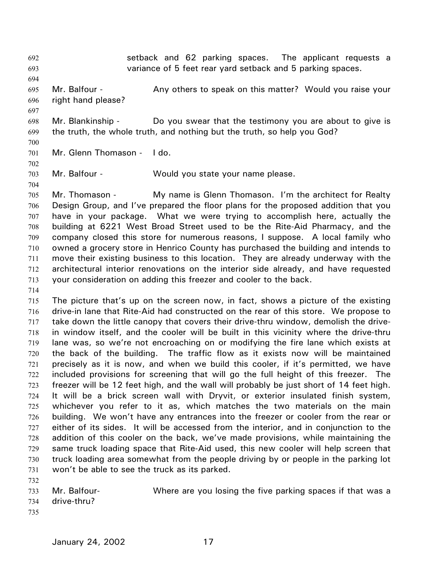setback and 62 parking spaces. The applicant requests a variance of 5 feet rear yard setback and 5 parking spaces. 692 693 694 695 696 697 698 699 700 701 702 703 704 705 706 707 708 709 710 711 712 713 714 715 716 717 718 719 720 721 722 723 724 725 726 727 728 729 730 731 732 733 734 735 Mr. Balfour - **Any others to speak on this matter?** Would you raise your right hand please? Mr. Blankinship - Do you swear that the testimony you are about to give is the truth, the whole truth, and nothing but the truth, so help you God? Mr. Glenn Thomason - I do. Mr. Balfour - Would you state your name please. Mr. Thomason - My name is Glenn Thomason. I'm the architect for Realty Design Group, and I've prepared the floor plans for the proposed addition that you have in your package. What we were trying to accomplish here, actually the building at 6221 West Broad Street used to be the Rite-Aid Pharmacy, and the company closed this store for numerous reasons, I suppose. A local family who owned a grocery store in Henrico County has purchased the building and intends to move their existing business to this location. They are already underway with the architectural interior renovations on the interior side already, and have requested your consideration on adding this freezer and cooler to the back. The picture that's up on the screen now, in fact, shows a picture of the existing drive-in lane that Rite-Aid had constructed on the rear of this store. We propose to take down the little canopy that covers their drive-thru window, demolish the drivein window itself, and the cooler will be built in this vicinity where the drive-thru lane was, so we're not encroaching on or modifying the fire lane which exists at the back of the building. The traffic flow as it exists now will be maintained precisely as it is now, and when we build this cooler, if it's permitted, we have included provisions for screening that will go the full height of this freezer. The freezer will be 12 feet high, and the wall will probably be just short of 14 feet high. It will be a brick screen wall with Dryvit, or exterior insulated finish system, whichever you refer to it as, which matches the two materials on the main building. We won't have any entrances into the freezer or cooler from the rear or either of its sides. It will be accessed from the interior, and in conjunction to the addition of this cooler on the back, we've made provisions, while maintaining the same truck loading space that Rite-Aid used, this new cooler will help screen that truck loading area somewhat from the people driving by or people in the parking lot won't be able to see the truck as its parked. Mr. Balfour- Where are you losing the five parking spaces if that was a drive-thru?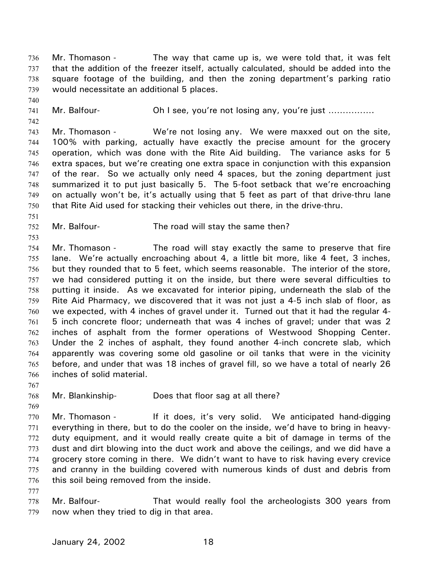Mr. Thomason - The way that came up is, we were told that, it was felt that the addition of the freezer itself, actually calculated, should be added into the square footage of the building, and then the zoning department's parking ratio would necessitate an additional 5 places. 736 737 738 739

- 740
- 741
- 742

Mr. Balfour- **Oh I see, you're not losing any, you're just** ……………

743 744 745 746 747 748 749 750 Mr. Thomason - We're not losing any. We were maxxed out on the site, 100% with parking, actually have exactly the precise amount for the grocery operation, which was done with the Rite Aid building. The variance asks for 5 extra spaces, but we're creating one extra space in conjunction with this expansion of the rear. So we actually only need 4 spaces, but the zoning department just summarized it to put just basically 5. The 5-foot setback that we're encroaching on actually won't be, it's actually using that 5 feet as part of that drive-thru lane that Rite Aid used for stacking their vehicles out there, in the drive-thru.

- 752 Mr. Balfour- The road will stay the same then?
- 753

751

754 755 756 757 758 759 760 761 762 763 764 765 766 Mr. Thomason - The road will stay exactly the same to preserve that fire lane. We're actually encroaching about 4, a little bit more, like 4 feet, 3 inches, but they rounded that to 5 feet, which seems reasonable. The interior of the store, we had considered putting it on the inside, but there were several difficulties to putting it inside. As we excavated for interior piping, underneath the slab of the Rite Aid Pharmacy, we discovered that it was not just a 4-5 inch slab of floor, as we expected, with 4 inches of gravel under it. Turned out that it had the regular 4- 5 inch concrete floor; underneath that was 4 inches of gravel; under that was 2 inches of asphalt from the former operations of Westwood Shopping Center. Under the 2 inches of asphalt, they found another 4-inch concrete slab, which apparently was covering some old gasoline or oil tanks that were in the vicinity before, and under that was 18 inches of gravel fill, so we have a total of nearly 26 inches of solid material.

767

768 Mr. Blankinship- Does that floor sag at all there?

769

770 771 772 773 774 775 776 Mr. Thomason - If it does, it's very solid. We anticipated hand-digging everything in there, but to do the cooler on the inside, we'd have to bring in heavyduty equipment, and it would really create quite a bit of damage in terms of the dust and dirt blowing into the duct work and above the ceilings, and we did have a grocery store coming in there. We didn't want to have to risk having every crevice and cranny in the building covered with numerous kinds of dust and debris from this soil being removed from the inside.

777

778 779 Mr. Balfour- That would really fool the archeologists 300 years from now when they tried to dig in that area.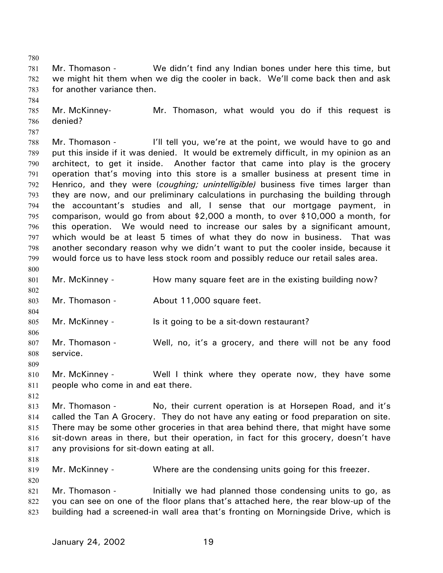781 782 783 Mr. Thomason - We didn't find any Indian bones under here this time, but we might hit them when we dig the cooler in back. We'll come back then and ask for another variance then.

785 786 Mr. McKinney- Mr. Thomason, what would you do if this request is denied?

787

784

780

788 789 790 791 792 793 794 795 796 797 798 799 800 Mr. Thomason - I'll tell you, we're at the point, we would have to go and put this inside if it was denied. It would be extremely difficult, in my opinion as an architect, to get it inside. Another factor that came into play is the grocery operation that's moving into this store is a smaller business at present time in Henrico, and they were (*coughing; unintelligible)* business five times larger than they are now, and our preliminary calculations in purchasing the building through the accountant's studies and all, I sense that our mortgage payment, in comparison, would go from about \$2,000 a month, to over \$10,000 a month, for this operation. We would need to increase our sales by a significant amount, which would be at least 5 times of what they do now in business. That was another secondary reason why we didn't want to put the cooler inside, because it would force us to have less stock room and possibly reduce our retail sales area.

801 Mr. McKinney - How many square feet are in the existing building now?

803 Mr. Thomason - About 11,000 square feet.

- 805 Mr. McKinney - Is it going to be a sit-down restaurant?
- 806 807 808 Mr. Thomason - Well, no, it's a grocery, and there will not be any food service.
- 810 811 Mr. McKinney - Well I think where they operate now, they have some people who come in and eat there.
- 812

809

802

804

813 814 815 816 817 Mr. Thomason - No, their current operation is at Horsepen Road, and it's called the Tan A Grocery. They do not have any eating or food preparation on site. There may be some other groceries in that area behind there, that might have some sit-down areas in there, but their operation, in fact for this grocery, doesn't have any provisions for sit-down eating at all.

818

820

819 Mr. McKinney - Where are the condensing units going for this freezer.

821 822 823 Mr. Thomason - Initially we had planned those condensing units to go, as you can see on one of the floor plans that's attached here, the rear blow-up of the building had a screened-in wall area that's fronting on Morningside Drive, which is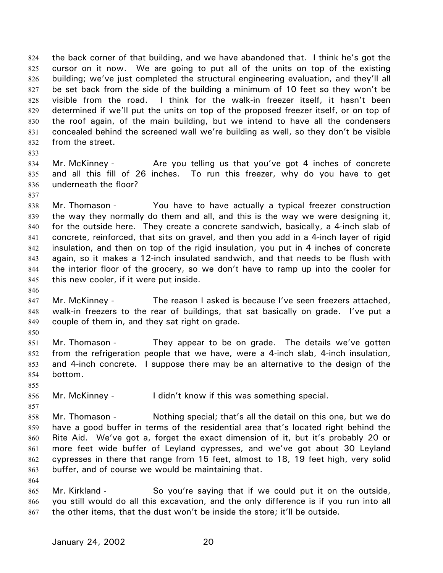the back corner of that building, and we have abandoned that. I think he's got the cursor on it now. We are going to put all of the units on top of the existing building; we've just completed the structural engineering evaluation, and they'll all be set back from the side of the building a minimum of 10 feet so they won't be visible from the road. I think for the walk-in freezer itself, it hasn't been determined if we'll put the units on top of the proposed freezer itself, or on top of the roof again, of the main building, but we intend to have all the condensers concealed behind the screened wall we're building as well, so they don't be visible from the street. 824 825 826 827 828 829 830 831 832

- 834 835 836 Mr. McKinney - Are you telling us that you've got 4 inches of concrete and all this fill of 26 inches. To run this freezer, why do you have to get underneath the floor?
- 837

833

838 839 840 841 842 843 844 845 Mr. Thomason - You have to have actually a typical freezer construction the way they normally do them and all, and this is the way we were designing it, for the outside here. They create a concrete sandwich, basically, a 4-inch slab of concrete, reinforced, that sits on gravel, and then you add in a 4-inch layer of rigid insulation, and then on top of the rigid insulation, you put in 4 inches of concrete again, so it makes a 12-inch insulated sandwich, and that needs to be flush with the interior floor of the grocery, so we don't have to ramp up into the cooler for this new cooler, if it were put inside.

846

850

855

- 847 848 849 Mr. McKinney - The reason I asked is because I've seen freezers attached, walk-in freezers to the rear of buildings, that sat basically on grade. I've put a couple of them in, and they sat right on grade.
- 851 852 853 854 Mr. Thomason - They appear to be on grade. The details we've gotten from the refrigeration people that we have, were a 4-inch slab, 4-inch insulation, and 4-inch concrete. I suppose there may be an alternative to the design of the bottom.
- 856 Mr. McKinney - I didn't know if this was something special.
- 857 858 859 860 861 862 863 Mr. Thomason - Nothing special; that's all the detail on this one, but we do have a good buffer in terms of the residential area that's located right behind the Rite Aid. We've got a, forget the exact dimension of it, but it's probably 20 or more feet wide buffer of Leyland cypresses, and we've got about 30 Leyland cypresses in there that range from 15 feet, almost to 18, 19 feet high, very solid buffer, and of course we would be maintaining that.
	- 864
	- 865 866 867 Mr. Kirkland - So you're saying that if we could put it on the outside, you still would do all this excavation, and the only difference is if you run into all the other items, that the dust won't be inside the store; it'll be outside.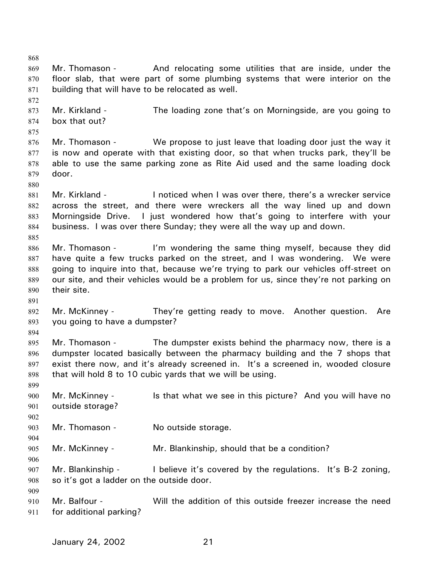868 869 870 871 872 873 874 875 876 877 878 879 880 881 882 883 884 885 886 887 888 889 890 891 892 893 894 895 896 897 898 899 900 901 902 903 904 905 906 907 908 909 910 911 Mr. Thomason - And relocating some utilities that are inside, under the floor slab, that were part of some plumbing systems that were interior on the building that will have to be relocated as well. Mr. Kirkland - The loading zone that's on Morningside, are you going to box that out? Mr. Thomason - We propose to just leave that loading door just the way it is now and operate with that existing door, so that when trucks park, they'll be able to use the same parking zone as Rite Aid used and the same loading dock door. Mr. Kirkland - I noticed when I was over there, there's a wrecker service across the street, and there were wreckers all the way lined up and down Morningside Drive. I just wondered how that's going to interfere with your business. I was over there Sunday; they were all the way up and down. Mr. Thomason - I'm wondering the same thing myself, because they did have quite a few trucks parked on the street, and I was wondering. We were going to inquire into that, because we're trying to park our vehicles off-street on our site, and their vehicles would be a problem for us, since they're not parking on their site. Mr. McKinney - They're getting ready to move. Another question. Are you going to have a dumpster? Mr. Thomason - The dumpster exists behind the pharmacy now, there is a dumpster located basically between the pharmacy building and the 7 shops that exist there now, and it's already screened in. It's a screened in, wooded closure that will hold 8 to 10 cubic yards that we will be using. Mr. McKinney - Is that what we see in this picture? And you will have no outside storage? Mr. Thomason - No outside storage. Mr. McKinney - Mr. Blankinship, should that be a condition? Mr. Blankinship - I believe it's covered by the regulations. It's B-2 zoning, so it's got a ladder on the outside door. Mr. Balfour - Will the addition of this outside freezer increase the need for additional parking?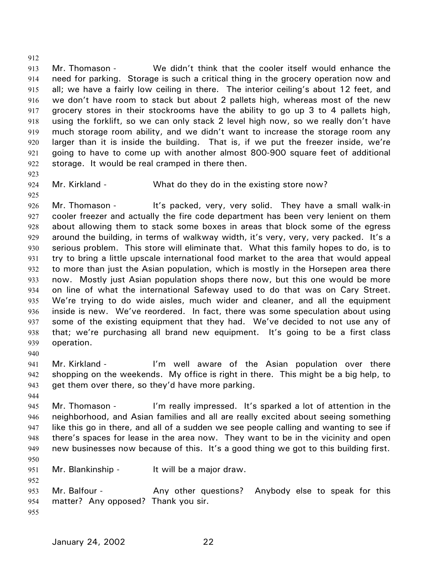913 914 915 916 917 918 919 920 921 922 Mr. Thomason - We didn't think that the cooler itself would enhance the need for parking. Storage is such a critical thing in the grocery operation now and all; we have a fairly low ceiling in there. The interior ceiling's about 12 feet, and we don't have room to stack but about 2 pallets high, whereas most of the new grocery stores in their stockrooms have the ability to go up 3 to 4 pallets high, using the forklift, so we can only stack 2 level high now, so we really don't have much storage room ability, and we didn't want to increase the storage room any larger than it is inside the building. That is, if we put the freezer inside, we're going to have to come up with another almost 800-900 square feet of additional storage. It would be real cramped in there then.

923

912

- 924 925
- Mr. Kirkland What do they do in the existing store now?

926 927 928 929 930 931 932 933 934 935 936 937 938 939 Mr. Thomason - It's packed, very, very solid. They have a small walk-in cooler freezer and actually the fire code department has been very lenient on them about allowing them to stack some boxes in areas that block some of the egress around the building, in terms of walkway width, it's very, very, very packed. It's a serious problem. This store will eliminate that. What this family hopes to do, is to try to bring a little upscale international food market to the area that would appeal to more than just the Asian population, which is mostly in the Horsepen area there now. Mostly just Asian population shops there now, but this one would be more on line of what the international Safeway used to do that was on Cary Street. We're trying to do wide aisles, much wider and cleaner, and all the equipment inside is new. We've reordered. In fact, there was some speculation about using some of the existing equipment that they had. We've decided to not use any of that; we're purchasing all brand new equipment. It's going to be a first class operation.

940

941 942 943 Mr. Kirkland - I'm well aware of the Asian population over there shopping on the weekends. My office is right in there. This might be a big help, to get them over there, so they'd have more parking.

944

952

945 946 947 948 949 950 Mr. Thomason - I'm really impressed. It's sparked a lot of attention in the neighborhood, and Asian families and all are really excited about seeing something like this go in there, and all of a sudden we see people calling and wanting to see if there's spaces for lease in the area now. They want to be in the vicinity and open new businesses now because of this. It's a good thing we got to this building first.

951 Mr. Blankinship - It will be a major draw.

953 954 955 Mr. Balfour - The Any other questions? Anybody else to speak for this matter? Any opposed? Thank you sir.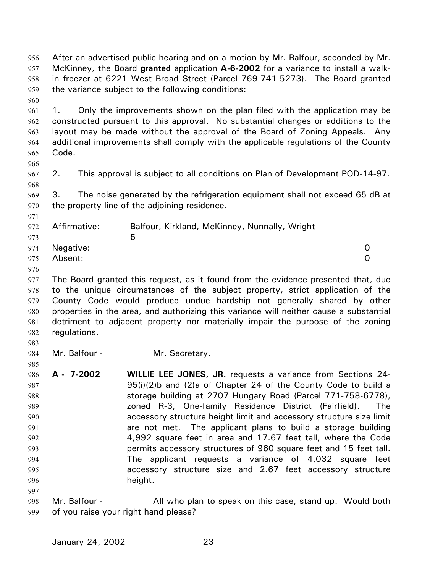in freezer at 6221 West Broad Street (Parcel 769-741-5273). The Board granted the variance subject to the following conditions: 958 959 960 961 962 963 964 965 966 967 968 969 970 971 972 973 974 975 976 977 978 979 980 981 982 983 984 985 986 987 988 989 990 991 1. Only the improvements shown on the plan filed with the application may be constructed pursuant to this approval. No substantial changes or additions to the layout may be made without the approval of the Board of Zoning Appeals. Any additional improvements shall comply with the applicable regulations of the County Code. 2. This approval is subject to all conditions on Plan of Development POD-14-97. 3. The noise generated by the refrigeration equipment shall not exceed 65 dB at the property line of the adjoining residence. Affirmative: Balfour, Kirkland, McKinney, Nunnally, Wright  $\sim$  5 Negative: 0 Absent: 0 The Board granted this request, as it found from the evidence presented that, due to the unique circumstances of the subject property, strict application of the County Code would produce undue hardship not generally shared by other properties in the area, and authorizing this variance will neither cause a substantial detriment to adjacent property nor materially impair the purpose of the zoning regulations. Mr. Balfour - Mr. Secretary. **A - 7-2002 WILLIE LEE JONES, JR.** requests a variance from Sections 24- 95(i)(2)b and (2)a of Chapter 24 of the County Code to build a storage building at 2707 Hungary Road (Parcel 771-758-6778), zoned R-3, One-family Residence District (Fairfield). The accessory structure height limit and accessory structure size limit are not met. The applicant plans to build a storage building

After an advertised public hearing and on a motion by Mr. Balfour, seconded by Mr. McKinney, the Board **granted** application **A-6-2002** for a variance to install a walk-

- 995 996 997 998 permits accessory structures of 960 square feet and 15 feet tall. The applicant requests a variance of 4,032 square feet accessory structure size and 2.67 feet accessory structure height. Mr. Balfour - All who plan to speak on this case, stand up. Would both
- 999 of you raise your right hand please?

992 993 994

956 957

4,992 square feet in area and 17.67 feet tall, where the Code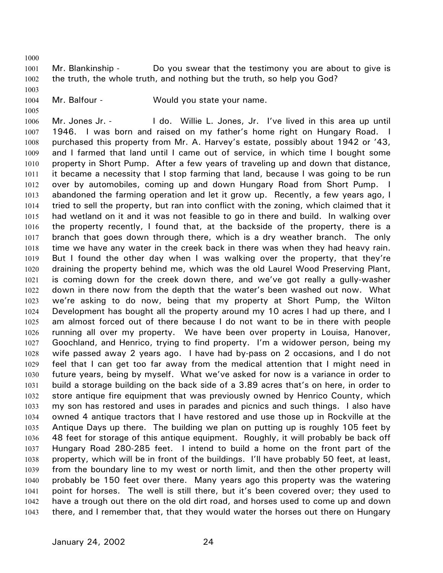1000

1001 1002 Mr. Blankinship - Do you swear that the testimony you are about to give is the truth, the whole truth, and nothing but the truth, so help you God?

1003 1004

1005

Mr. Balfour - Would you state your name.

1006 1007 1008 1009 1010 1011 1012 1013 1014 1015 1016 1017 1018 1019 1020 1021 1022 1023 1024 1025 1026 1027 1028 1029 1030 1031 1032 1033 1034 1035 1036 1037 1038 1039 1040 1041 1042 1043 Mr. Jones Jr. - The do. Willie L. Jones, Jr. I've lived in this area up until 1946. I was born and raised on my father's home right on Hungary Road. I purchased this property from Mr. A. Harvey's estate, possibly about 1942 or '43, and I farmed that land until I came out of service, in which time I bought some property in Short Pump. After a few years of traveling up and down that distance, it became a necessity that I stop farming that land, because I was going to be run over by automobiles, coming up and down Hungary Road from Short Pump. I abandoned the farming operation and let it grow up. Recently, a few years ago, I tried to sell the property, but ran into conflict with the zoning, which claimed that it had wetland on it and it was not feasible to go in there and build. In walking over the property recently, I found that, at the backside of the property, there is a branch that goes down through there, which is a dry weather branch. The only time we have any water in the creek back in there was when they had heavy rain. But I found the other day when I was walking over the property, that they're draining the property behind me, which was the old Laurel Wood Preserving Plant, is coming down for the creek down there, and we've got really a gully-washer down in there now from the depth that the water's been washed out now. What we're asking to do now, being that my property at Short Pump, the Wilton Development has bought all the property around my 10 acres I had up there, and I am almost forced out of there because I do not want to be in there with people running all over my property. We have been over property in Louisa, Hanover, Goochland, and Henrico, trying to find property. I'm a widower person, being my wife passed away 2 years ago. I have had by-pass on 2 occasions, and I do not feel that I can get too far away from the medical attention that I might need in future years, being by myself. What we've asked for now is a variance in order to build a storage building on the back side of a 3.89 acres that's on here, in order to store antique fire equipment that was previously owned by Henrico County, which my son has restored and uses in parades and picnics and such things. I also have owned 4 antique tractors that I have restored and use those up in Rockville at the Antique Days up there. The building we plan on putting up is roughly 105 feet by 48 feet for storage of this antique equipment. Roughly, it will probably be back off Hungary Road 280-285 feet. I intend to build a home on the front part of the property, which will be in front of the buildings. I'll have probably 50 feet, at least, from the boundary line to my west or north limit, and then the other property will probably be 150 feet over there. Many years ago this property was the watering point for horses. The well is still there, but it's been covered over; they used to have a trough out there on the old dirt road, and horses used to come up and down there, and I remember that, that they would water the horses out there on Hungary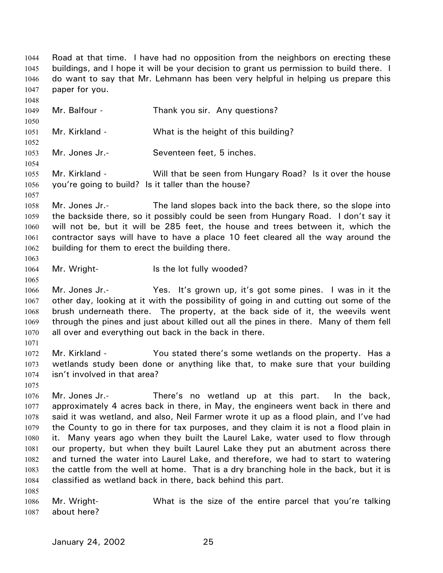Road at that time. I have had no opposition from the neighbors on erecting these buildings, and I hope it will be your decision to grant us permission to build there. I do want to say that Mr. Lehmann has been very helpful in helping us prepare this paper for you. 1044 1045 1046 1047 1048 1049 1050 1051 1052 1053 1054 1055 1056 1057 1058 1059 1060 1061 1062 1063 1064 1065 1066 1067 1068 1069 1070 1071 1072 1073 1074 1075 1076 1077 1078 1079 1080 1081 1082 1083 1084 1085 1086 1087 Mr. Balfour - Thank you sir. Any questions? Mr. Kirkland - What is the height of this building? Mr. Jones Jr.- Seventeen feet, 5 inches. Mr. Kirkland - Will that be seen from Hungary Road? Is it over the house you're going to build? Is it taller than the house? Mr. Jones Jr.- The land slopes back into the back there, so the slope into the backside there, so it possibly could be seen from Hungary Road. I don't say it will not be, but it will be 285 feet, the house and trees between it, which the contractor says will have to have a place 10 feet cleared all the way around the building for them to erect the building there. Mr. Wright- Is the lot fully wooded? Mr. Jones Jr.- Yes. It's grown up, it's got some pines. I was in it the other day, looking at it with the possibility of going in and cutting out some of the brush underneath there. The property, at the back side of it, the weevils went through the pines and just about killed out all the pines in there. Many of them fell all over and everything out back in the back in there. Mr. Kirkland - You stated there's some wetlands on the property. Has a wetlands study been done or anything like that, to make sure that your building isn't involved in that area? Mr. Jones Jr.- There's no wetland up at this part. In the back, approximately 4 acres back in there, in May, the engineers went back in there and said it was wetland, and also, Neil Farmer wrote it up as a flood plain, and I've had the County to go in there for tax purposes, and they claim it is not a flood plain in it. Many years ago when they built the Laurel Lake, water used to flow through our property, but when they built Laurel Lake they put an abutment across there and turned the water into Laurel Lake, and therefore, we had to start to watering the cattle from the well at home. That is a dry branching hole in the back, but it is classified as wetland back in there, back behind this part. Mr. Wright- What is the size of the entire parcel that you're talking about here?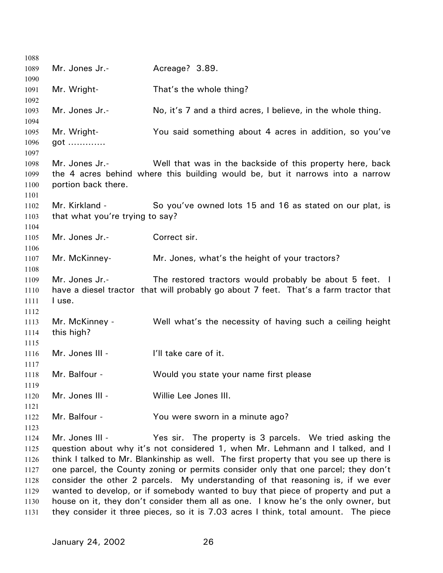| No, it's 7 and a third acres, I believe, in the whole thing.<br>You said something about 4 acres in addition, so you've<br>Well that was in the backside of this property here, back<br>the 4 acres behind where this building would be, but it narrows into a narrow |
|-----------------------------------------------------------------------------------------------------------------------------------------------------------------------------------------------------------------------------------------------------------------------|
|                                                                                                                                                                                                                                                                       |
|                                                                                                                                                                                                                                                                       |
|                                                                                                                                                                                                                                                                       |
|                                                                                                                                                                                                                                                                       |
|                                                                                                                                                                                                                                                                       |
|                                                                                                                                                                                                                                                                       |
|                                                                                                                                                                                                                                                                       |
|                                                                                                                                                                                                                                                                       |
|                                                                                                                                                                                                                                                                       |
|                                                                                                                                                                                                                                                                       |
|                                                                                                                                                                                                                                                                       |
| So you've owned lots 15 and 16 as stated on our plat, is                                                                                                                                                                                                              |
|                                                                                                                                                                                                                                                                       |
|                                                                                                                                                                                                                                                                       |
|                                                                                                                                                                                                                                                                       |
|                                                                                                                                                                                                                                                                       |
|                                                                                                                                                                                                                                                                       |
|                                                                                                                                                                                                                                                                       |
| The restored tractors would probably be about 5 feet. I<br>have a diesel tractor that will probably go about 7 feet. That's a farm tractor that                                                                                                                       |
|                                                                                                                                                                                                                                                                       |
|                                                                                                                                                                                                                                                                       |
| Well what's the necessity of having such a ceiling height                                                                                                                                                                                                             |
|                                                                                                                                                                                                                                                                       |
|                                                                                                                                                                                                                                                                       |
|                                                                                                                                                                                                                                                                       |
|                                                                                                                                                                                                                                                                       |
|                                                                                                                                                                                                                                                                       |
|                                                                                                                                                                                                                                                                       |
|                                                                                                                                                                                                                                                                       |
|                                                                                                                                                                                                                                                                       |
|                                                                                                                                                                                                                                                                       |
|                                                                                                                                                                                                                                                                       |
| Yes sir. The property is 3 parcels. We tried asking the                                                                                                                                                                                                               |
| question about why it's not considered 1, when Mr. Lehmann and I talked, and I                                                                                                                                                                                        |
| think I talked to Mr. Blankinship as well. The first property that you see up there is                                                                                                                                                                                |
|                                                                                                                                                                                                                                                                       |
| one parcel, the County zoning or permits consider only that one parcel; they don't                                                                                                                                                                                    |
| consider the other 2 parcels. My understanding of that reasoning is, if we ever                                                                                                                                                                                       |
| wanted to develop, or if somebody wanted to buy that piece of property and put a<br>house on it, they don't consider them all as one. I know he's the only owner, but                                                                                                 |
|                                                                                                                                                                                                                                                                       |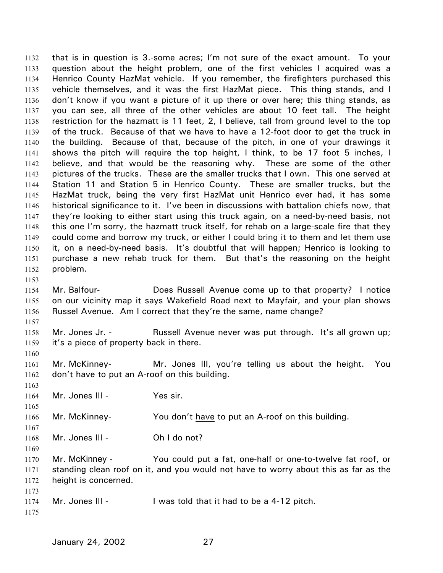that is in question is 3.-some acres; I'm not sure of the exact amount. To your question about the height problem, one of the first vehicles I acquired was a Henrico County HazMat vehicle. If you remember, the firefighters purchased this vehicle themselves, and it was the first HazMat piece. This thing stands, and I don't know if you want a picture of it up there or over here; this thing stands, as you can see, all three of the other vehicles are about 10 feet tall. The height restriction for the hazmatt is 11 feet, 2, I believe, tall from ground level to the top of the truck. Because of that we have to have a 12-foot door to get the truck in the building. Because of that, because of the pitch, in one of your drawings it shows the pitch will require the top height, I think, to be 17 foot 5 inches, I believe, and that would be the reasoning why. These are some of the other pictures of the trucks. These are the smaller trucks that I own. This one served at Station 11 and Station 5 in Henrico County. These are smaller trucks, but the HazMat truck, being the very first HazMat unit Henrico ever had, it has some historical significance to it. I've been in discussions with battalion chiefs now, that they're looking to either start using this truck again, on a need-by-need basis, not this one I'm sorry, the hazmatt truck itself, for rehab on a large-scale fire that they could come and borrow my truck, or either I could bring it to them and let them use it, on a need-by-need basis. It's doubtful that will happen; Henrico is looking to purchase a new rehab truck for them. But that's the reasoning on the height problem. 1132 1133 1134 1135 1136 1137 1138 1139 1140 1141 1142 1143 1144 1145 1146 1147 1148 1149 1150 1151 1152 1153

- 1154 1155 1156 Mr. Balfour- Does Russell Avenue come up to that property? I notice on our vicinity map it says Wakefield Road next to Mayfair, and your plan shows Russel Avenue. Am I correct that they're the same, name change?
- 1158 1159 Mr. Jones Jr. - Russell Avenue never was put through. It's all grown up; it's a piece of property back in there.
- 1160 1161 1162 Mr. McKinney- Mr. Jones III, you're telling us about the height. You don't have to put an A-roof on this building.
	- 1164 Mr. Jones III - Yes sir.
- 1166 Mr. McKinney- You don't have to put an A-roof on this building.
- 1168 Mr. Jones III - Ch I do not?
- 1170 1171 1172 Mr. McKinney - You could put a fat, one-half or one-to-twelve fat roof, or standing clean roof on it, and you would not have to worry about this as far as the height is concerned.
- 1174 Mr. Jones III - I was told that it had to be a 4-12 pitch.
- 1175

1173

1157

1163

1165

1167

1169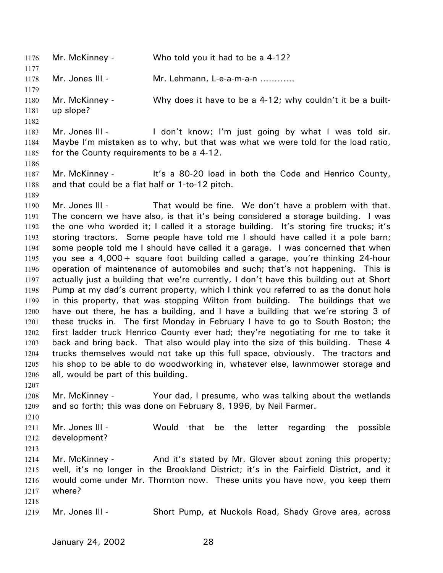1176 Mr. McKinney - Who told you it had to be a 4-12? 1177 1178 1179 1180 1181 1182 1183 1184 1185 1186 1187 1188 1189 1190 1191 1192 1193 1194 1195 1196 1197 1198 1199 1200 1201 1202 1203 1204 1205 1206 1207 1208 1209 1210 1211 1212 1213 1214 1215 1216 1217 1218 1219 Mr. Jones III - Mr. Lehmann, L-e-a-m-a-n ………… Mr. McKinney - Why does it have to be a 4-12; why couldn't it be a builtup slope? Mr. Jones III - The don't know; I'm just going by what I was told sir. Maybe I'm mistaken as to why, but that was what we were told for the load ratio, for the County requirements to be a 4-12. Mr. McKinney - It's a 80-20 load in both the Code and Henrico County, and that could be a flat half or 1-to-12 pitch. Mr. Jones III - That would be fine. We don't have a problem with that. The concern we have also, is that it's being considered a storage building. I was the one who worded it; I called it a storage building. It's storing fire trucks; it's storing tractors. Some people have told me I should have called it a pole barn; some people told me I should have called it a garage. I was concerned that when you see a 4,000+ square foot building called a garage, you're thinking 24-hour operation of maintenance of automobiles and such; that's not happening. This is actually just a building that we're currently, I don't have this building out at Short Pump at my dad's current property, which I think you referred to as the donut hole in this property, that was stopping Wilton from building. The buildings that we have out there, he has a building, and I have a building that we're storing 3 of these trucks in. The first Monday in February I have to go to South Boston; the first ladder truck Henrico County ever had; they're negotiating for me to take it back and bring back. That also would play into the size of this building. These 4 trucks themselves would not take up this full space, obviously. The tractors and his shop to be able to do woodworking in, whatever else, lawnmower storage and all, would be part of this building. Mr. McKinney - Your dad, I presume, who was talking about the wetlands and so forth; this was done on February 8, 1996, by Neil Farmer. Mr. Jones III - The Would that be the letter regarding the possible development? Mr. McKinney - And it's stated by Mr. Glover about zoning this property; well, it's no longer in the Brookland District; it's in the Fairfield District, and it would come under Mr. Thornton now. These units you have now, you keep them where? Mr. Jones III - Short Pump, at Nuckols Road, Shady Grove area, across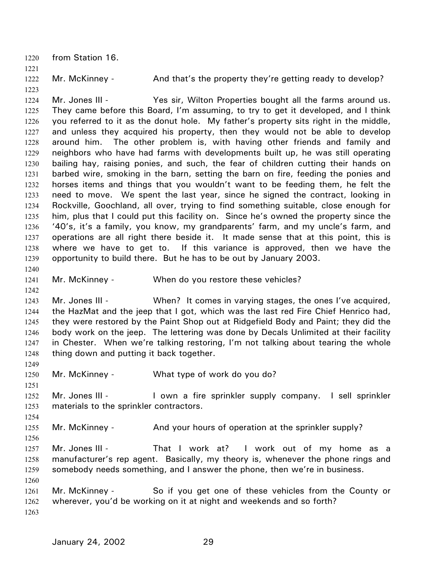1220 from Station 16. 1221 1222 1223 1224 1225 1226 1227 1228 1229 1230 1231 1232 1233 1234 1235 1236 1237 1238 1239 1240 1241 1242 1243 1244 1245 1246 1247 1248 1249 1250 1251 1252 1253 1254 1255 1256 1257 1258 1259 1260 1261 1262 1263 Mr. McKinney - And that's the property they're getting ready to develop? Mr. Jones III - Yes sir, Wilton Properties bought all the farms around us. They came before this Board, I'm assuming, to try to get it developed, and I think you referred to it as the donut hole. My father's property sits right in the middle, and unless they acquired his property, then they would not be able to develop around him. The other problem is, with having other friends and family and neighbors who have had farms with developments built up, he was still operating bailing hay, raising ponies, and such, the fear of children cutting their hands on barbed wire, smoking in the barn, setting the barn on fire, feeding the ponies and horses items and things that you wouldn't want to be feeding them, he felt the need to move. We spent the last year, since he signed the contract, looking in Rockville, Goochland, all over, trying to find something suitable, close enough for him, plus that I could put this facility on. Since he's owned the property since the '40's, it's a family, you know, my grandparents' farm, and my uncle's farm, and operations are all right there beside it. It made sense that at this point, this is where we have to get to. If this variance is approved, then we have the opportunity to build there. But he has to be out by January 2003. Mr. McKinney - When do you restore these vehicles? Mr. Jones III - When? It comes in varying stages, the ones I've acquired, the HazMat and the jeep that I got, which was the last red Fire Chief Henrico had, they were restored by the Paint Shop out at Ridgefield Body and Paint; they did the body work on the jeep. The lettering was done by Decals Unlimited at their facility in Chester. When we're talking restoring, I'm not talking about tearing the whole thing down and putting it back together. Mr. McKinney - What type of work do you do? Mr. Jones III - I own a fire sprinkler supply company. I sell sprinkler materials to the sprinkler contractors. Mr. McKinney - And your hours of operation at the sprinkler supply? Mr. Jones III - That I work at? I work out of my home as a manufacturer's rep agent. Basically, my theory is, whenever the phone rings and somebody needs something, and I answer the phone, then we're in business. Mr. McKinney - So if you get one of these vehicles from the County or wherever, you'd be working on it at night and weekends and so forth?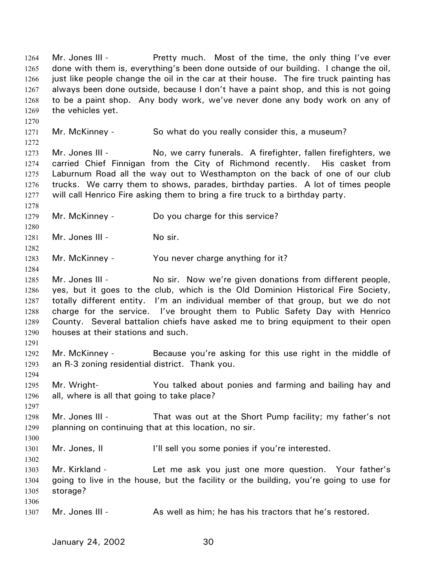Mr. Jones III - The Pretty much. Most of the time, the only thing I've ever done with them is, everything's been done outside of our building. I change the oil, just like people change the oil in the car at their house. The fire truck painting has always been done outside, because I don't have a paint shop, and this is not going to be a paint shop. Any body work, we've never done any body work on any of the vehicles yet. 1264 1265 1266 1267 1268 1269 1270 1271 1272 1273 1274 1275 1276 1277 1278 1279 1280 1281 1282 1283 1284 1285 1286 1287 1288 1289 1290 1291 1292 1293 1294 1295 1296 1297 1298 1299 1300 1301 1302 1303 1304 1305 1306 1307 Mr. McKinney - So what do you really consider this, a museum? Mr. Jones III - No, we carry funerals. A firefighter, fallen firefighters, we carried Chief Finnigan from the City of Richmond recently. His casket from Laburnum Road all the way out to Westhampton on the back of one of our club trucks. We carry them to shows, parades, birthday parties. A lot of times people will call Henrico Fire asking them to bring a fire truck to a birthday party. Mr. McKinney - Do you charge for this service? Mr. Jones III - No sir. Mr. McKinney - You never charge anything for it? Mr. Jones III - No sir. Now we're given donations from different people, yes, but it goes to the club, which is the Old Dominion Historical Fire Society, totally different entity. I'm an individual member of that group, but we do not charge for the service. I've brought them to Public Safety Day with Henrico County. Several battalion chiefs have asked me to bring equipment to their open houses at their stations and such. Mr. McKinney - Because you're asking for this use right in the middle of an R-3 zoning residential district. Thank you. Mr. Wright- You talked about ponies and farming and bailing hay and all, where is all that going to take place? Mr. Jones III - That was out at the Short Pump facility; my father's not planning on continuing that at this location, no sir. Mr. Jones, II **I'll sell you some ponies if you're interested.** Mr. Kirkland - Let me ask you just one more question. Your father's going to live in the house, but the facility or the building, you're going to use for storage? Mr. Jones III - As well as him; he has his tractors that he's restored.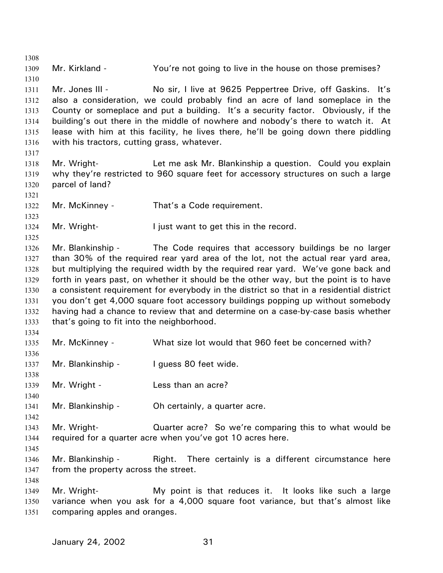1308 1309 1310 1311 1312 1313 1314 1315 1316 1317 1318 1319 1320 1321 1322 1323 1324 1325 1326 1327 1328 1329 1330 1331 1332 1333 1334 1335 1336 1337 1338 1339 1340 1341 1342 1343 1344 1345 1346 1347 1348 1349 1350 1351 Mr. Kirkland - The You're not going to live in the house on those premises? Mr. Jones III - The State of the at 9625 Peppertree Drive, off Gaskins. It's also a consideration, we could probably find an acre of land someplace in the County or someplace and put a building. It's a security factor. Obviously, if the building's out there in the middle of nowhere and nobody's there to watch it. At lease with him at this facility, he lives there, he'll be going down there piddling with his tractors, cutting grass, whatever. Mr. Wright- **Let me ask Mr. Blankinship a question.** Could you explain why they're restricted to 960 square feet for accessory structures on such a large parcel of land? Mr. McKinney - That's a Code requirement. Mr. Wright-<br>
I just want to get this in the record. Mr. Blankinship - The Code requires that accessory buildings be no larger than 30% of the required rear yard area of the lot, not the actual rear yard area, but multiplying the required width by the required rear yard. We've gone back and forth in years past, on whether it should be the other way, but the point is to have a consistent requirement for everybody in the district so that in a residential district you don't get 4,000 square foot accessory buildings popping up without somebody having had a chance to review that and determine on a case-by-case basis whether that's going to fit into the neighborhood. Mr. McKinney - What size lot would that 960 feet be concerned with? Mr. Blankinship - I guess 80 feet wide. Mr. Wright - The Less than an acre? Mr. Blankinship - Oh certainly, a quarter acre. Mr. Wright- **Quarter acre?** So we're comparing this to what would be required for a quarter acre when you've got 10 acres here. Mr. Blankinship - Right. There certainly is a different circumstance here from the property across the street. Mr. Wright- My point is that reduces it. It looks like such a large variance when you ask for a 4,000 square foot variance, but that's almost like comparing apples and oranges.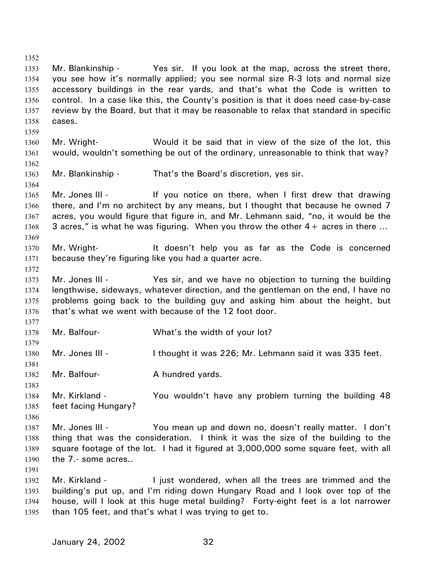1352 1353 1354 1355 1356 1357 1358 1359 1360 1361 1362 1363 1364 1365 1366 1367 1368 1369 1370 1371 1372 1373 1374 1375 1376 1377 1378 1379 1380 1381 1382 1383 1384 1385 1386 1387 1388 1389 1390 1391 1392 1393 1394 1395 Mr. Blankinship - Yes sir. If you look at the map, across the street there, you see how it's normally applied; you see normal size R-3 lots and normal size accessory buildings in the rear yards, and that's what the Code is written to control. In a case like this, the County's position is that it does need case-by-case review by the Board, but that it may be reasonable to relax that standard in specific cases. Mr. Wright- Would it be said that in view of the size of the lot, this would, wouldn't something be out of the ordinary, unreasonable to think that way? Mr. Blankinship - That's the Board's discretion, yes sir. Mr. Jones III - If you notice on there, when I first drew that drawing there, and I'm no architect by any means, but I thought that because he owned 7 acres, you would figure that figure in, and Mr. Lehmann said, "no, it would be the 3 acres," is what he was figuring. When you throw the other  $4+$  acres in there ... Mr. Wright- It doesn't help you as far as the Code is concerned because they're figuring like you had a quarter acre. Mr. Jones III - The Yes sir, and we have no objection to turning the building lengthwise, sideways, whatever direction, and the gentleman on the end, I have no problems going back to the building guy and asking him about the height, but that's what we went with because of the 12 foot door. Mr. Balfour- What's the width of your lot? Mr. Jones III - I thought it was 226; Mr. Lehmann said it was 335 feet. Mr. Balfour-<br>
A hundred yards. Mr. Kirkland - The You wouldn't have any problem turning the building 48 feet facing Hungary? Mr. Jones III - You mean up and down no, doesn't really matter. I don't thing that was the consideration. I think it was the size of the building to the square footage of the lot. I had it figured at 3,000,000 some square feet, with all the 7.- some acres.. Mr. Kirkland - I just wondered, when all the trees are trimmed and the building's put up, and I'm riding down Hungary Road and I look over top of the house, will I look at this huge metal building? Forty-eight feet is a lot narrower than 105 feet, and that's what I was trying to get to.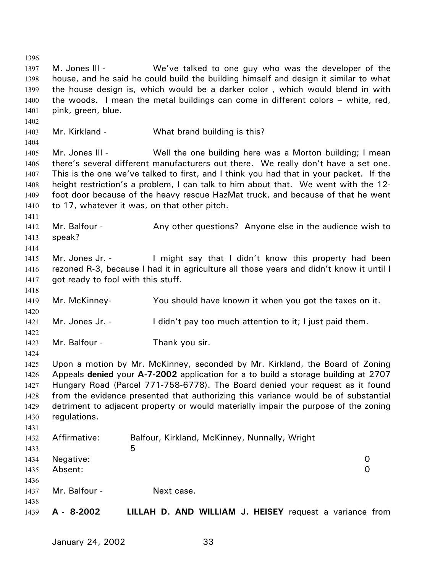1396 1397 1398 1399 1400 1401 1402 1403 1404 1405 1406 1407 1408 1409 1410 1411 1412 1413 1414 1415 1416 1417 1418 1419 1420 1421 1422 1423 1424 1425 1426 1427 1428 1429 1430 1431 1432 1433 1434 1435 1436 1437 1438 1439 M. Jones III - We've talked to one guy who was the developer of the house, and he said he could build the building himself and design it similar to what the house design is, which would be a darker color , which would blend in with the woods. I mean the metal buildings can come in different colors – white, red, pink, green, blue. Mr. Kirkland - What brand building is this? Mr. Jones III - Well the one building here was a Morton building; I mean there's several different manufacturers out there. We really don't have a set one. This is the one we've talked to first, and I think you had that in your packet. If the height restriction's a problem, I can talk to him about that. We went with the 12 foot door because of the heavy rescue HazMat truck, and because of that he went to 17, whatever it was, on that other pitch. Mr. Balfour - Any other questions? Anyone else in the audience wish to speak? Mr. Jones Jr. - I might say that I didn't know this property had been rezoned R-3, because I had it in agriculture all those years and didn't know it until I got ready to fool with this stuff. Mr. McKinney- You should have known it when you got the taxes on it. Mr. Jones Jr. - I didn't pay too much attention to it; I just paid them. Mr. Balfour - Thank you sir. Upon a motion by Mr. McKinney, seconded by Mr. Kirkland, the Board of Zoning Appeals **denied** your **A-7-2002** application for a to build a storage building at 2707 Hungary Road (Parcel 771-758-6778). The Board denied your request as it found from the evidence presented that authorizing this variance would be of substantial detriment to adjacent property or would materially impair the purpose of the zoning regulations. Affirmative: Balfour, Kirkland, McKinney, Nunnally, Wright  $5<sub>5</sub>$ Negative: 0 Absent: 0 Mr. Balfour - Next case. **A - 8-2002 LILLAH D. AND WILLIAM J. HEISEY** request a variance from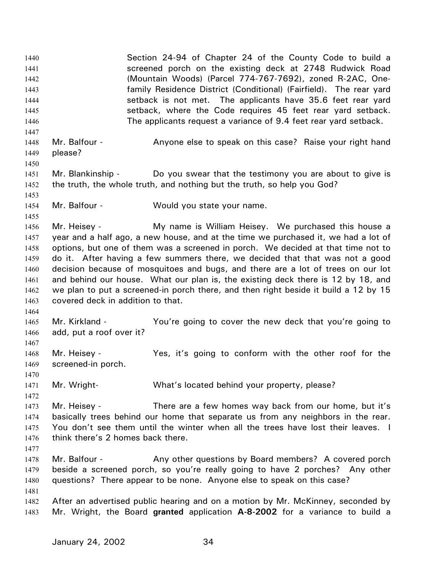Section 24-94 of Chapter 24 of the County Code to build a screened porch on the existing deck at 2748 Rudwick Road (Mountain Woods) (Parcel 774-767-7692), zoned R-2AC, Onefamily Residence District (Conditional) (Fairfield). The rear yard setback is not met. The applicants have 35.6 feet rear yard setback, where the Code requires 45 feet rear yard setback. The applicants request a variance of 9.4 feet rear yard setback. 1440 1441 1442 1443 1444 1445 1446 1447 1448 1449 1450 1451 1452 1453 1454 1455 1456 1457 1458 1459 1460 1461 1462 1463 1464 1465 1466 1467 1468 1469 1470 1471 1472 1473 1474 1475 1476 1477 1478 1479 1480 1481 1482 1483 Mr. Balfour - Anyone else to speak on this case? Raise your right hand please? Mr. Blankinship - Do you swear that the testimony you are about to give is the truth, the whole truth, and nothing but the truth, so help you God? Mr. Balfour - Would you state your name. Mr. Heisey - **My name is William Heisey.** We purchased this house a year and a half ago, a new house, and at the time we purchased it, we had a lot of options, but one of them was a screened in porch. We decided at that time not to do it. After having a few summers there, we decided that that was not a good decision because of mosquitoes and bugs, and there are a lot of trees on our lot and behind our house. What our plan is, the existing deck there is 12 by 18, and we plan to put a screened-in porch there, and then right beside it build a 12 by 15 covered deck in addition to that. Mr. Kirkland - The You're going to cover the new deck that you're going to add, put a roof over it? Mr. Heisey - The Yes, it's going to conform with the other roof for the screened-in porch. Mr. Wright- What's located behind your property, please? Mr. Heisey - There are a few homes way back from our home, but it's basically trees behind our home that separate us from any neighbors in the rear. You don't see them until the winter when all the trees have lost their leaves. I think there's 2 homes back there. Mr. Balfour - Any other questions by Board members? A covered porch beside a screened porch, so you're really going to have 2 porches? Any other questions? There appear to be none. Anyone else to speak on this case? After an advertised public hearing and on a motion by Mr. McKinney, seconded by Mr. Wright, the Board **granted** application **A-8-2002** for a variance to build a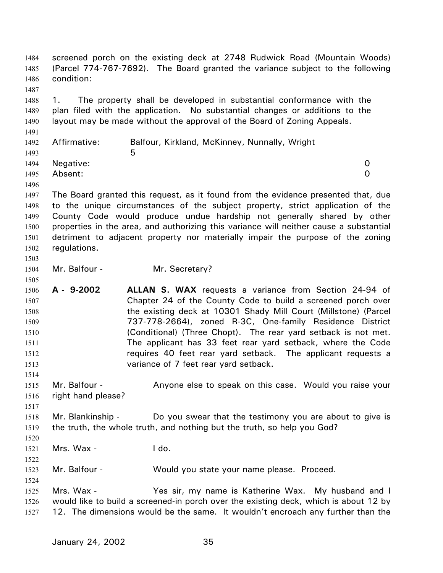screened porch on the existing deck at 2748 Rudwick Road (Mountain Woods) (Parcel 774-767-7692). The Board granted the variance subject to the following condition: 1484 1485 1486 1487 1488 1489 1490 1491 1492 1493 1494 1495 1496 1497 1498 1499 1500 1501 1502 1503 1504 1505 1506 1507 1508 1509 1510 1511 1512 1513 1514 1515 1516 1517 1518 1519 1520 1521 1522 1523 1524 1525 1526 1527 1. The property shall be developed in substantial conformance with the plan filed with the application. No substantial changes or additions to the layout may be made without the approval of the Board of Zoning Appeals. Affirmative: Balfour, Kirkland, McKinney, Nunnally, Wright  $5<sub>5</sub>$ Negative: 0 Absent: 0 The Board granted this request, as it found from the evidence presented that, due to the unique circumstances of the subject property, strict application of the County Code would produce undue hardship not generally shared by other properties in the area, and authorizing this variance will neither cause a substantial detriment to adjacent property nor materially impair the purpose of the zoning regulations. Mr. Balfour - Mr. Secretary? **A - 9-2002 ALLAN S. WAX** requests a variance from Section 24-94 of Chapter 24 of the County Code to build a screened porch over the existing deck at 10301 Shady Mill Court (Millstone) (Parcel 737-778-2664), zoned R-3C, One-family Residence District (Conditional) (Three Chopt). The rear yard setback is not met. The applicant has 33 feet rear yard setback, where the Code requires 40 feet rear yard setback. The applicant requests a variance of 7 feet rear yard setback. Mr. Balfour - **Anyone else to speak on this case.** Would you raise your right hand please? Mr. Blankinship - Do you swear that the testimony you are about to give is the truth, the whole truth, and nothing but the truth, so help you God? Mrs. Wax - I do. Mr. Balfour - Would you state your name please. Proceed. Mrs. Wax - Yes sir, my name is Katherine Wax. My husband and I would like to build a screened-in porch over the existing deck, which is about 12 by 12. The dimensions would be the same. It wouldn't encroach any further than the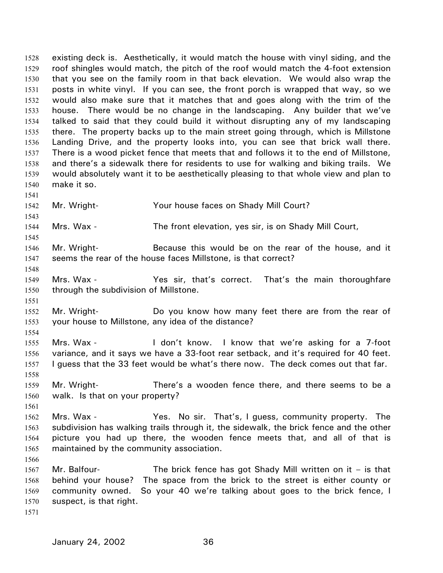existing deck is. Aesthetically, it would match the house with vinyl siding, and the roof shingles would match, the pitch of the roof would match the 4-foot extension that you see on the family room in that back elevation. We would also wrap the posts in white vinyl. If you can see, the front porch is wrapped that way, so we would also make sure that it matches that and goes along with the trim of the house. There would be no change in the landscaping. Any builder that we've talked to said that they could build it without disrupting any of my landscaping there. The property backs up to the main street going through, which is Millstone Landing Drive, and the property looks into, you can see that brick wall there. There is a wood picket fence that meets that and follows it to the end of Millstone, and there's a sidewalk there for residents to use for walking and biking trails. We would absolutely want it to be aesthetically pleasing to that whole view and plan to make it so. 1528 1529 1530 1531 1532 1533 1534 1535 1536 1537 1538 1539 1540 1541 1542 1543 1544 1545 1546 1547 1548 1549 1550 1551 1552 1553 1554 1555 1556 1557 1558 1559 1560 1561 1562 1563 1564 1565 1566 1567 1568 1569 1570 Mr. Wright- Your house faces on Shady Mill Court? Mrs. Wax - The front elevation, yes sir, is on Shady Mill Court, Mr. Wright- Because this would be on the rear of the house, and it seems the rear of the house faces Millstone, is that correct? Mrs. Wax - That's correct. That's the main thoroughfare through the subdivision of Millstone. Mr. Wright- **Do** you know how many feet there are from the rear of your house to Millstone, any idea of the distance? Mrs. Wax - I don't know. I know that we're asking for a 7-foot variance, and it says we have a 33-foot rear setback, and it's required for 40 feet. I guess that the 33 feet would be what's there now. The deck comes out that far. Mr. Wright- There's a wooden fence there, and there seems to be a walk. Is that on your property? Mrs. Wax - The Yes. No sir. That's, I guess, community property. The subdivision has walking trails through it, the sidewalk, the brick fence and the other picture you had up there, the wooden fence meets that, and all of that is maintained by the community association. Mr. Balfour- The brick fence has got Shady Mill written on it  $-$  is that behind your house? The space from the brick to the street is either county or community owned. So your 40 we're talking about goes to the brick fence, I suspect, is that right.

1571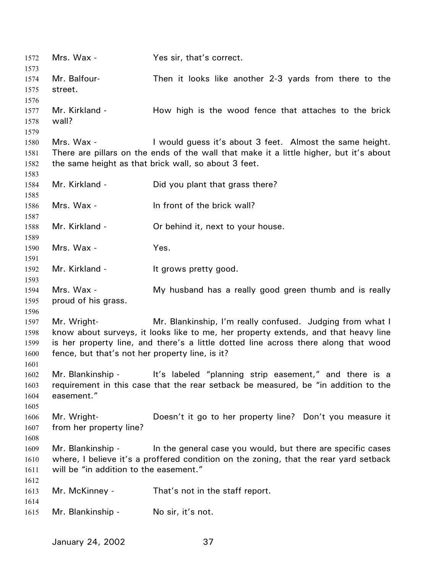1572 Mrs. Wax - Yes sir, that's correct. 1573 1574 1575 1576 1577 1578 1579 1580 1581 1582 1583 1584 1585 1586 1587 1588 1589 1590 1591 1592 1593 1594 1595 1596 1597 1598 1599 1600 1601 1602 1603 1604 1605 1606 1607 1608 1609 1610 1611 1612 1613 1614 1615 Mr. Balfour- Then it looks like another 2-3 yards from there to the street. Mr. Kirkland - The How high is the wood fence that attaches to the brick wall? Mrs. Wax - I would guess it's about 3 feet. Almost the same height. There are pillars on the ends of the wall that make it a little higher, but it's about the same height as that brick wall, so about 3 feet. Mr. Kirkland - Did you plant that grass there? Mrs. Wax - In front of the brick wall? Mr. Kirkland - Cr behind it, next to your house. Mrs. Wax - Yes. Mr. Kirkland - It grows pretty good. Mrs. Wax - The My husband has a really good green thumb and is really proud of his grass. Mr. Wright- Mr. Blankinship, I'm really confused. Judging from what I know about surveys, it looks like to me, her property extends, and that heavy line is her property line, and there's a little dotted line across there along that wood fence, but that's not her property line, is it? Mr. Blankinship - It's labeled "planning strip easement," and there is a requirement in this case that the rear setback be measured, be "in addition to the easement." Mr. Wright- Doesn't it go to her property line? Don't you measure it from her property line? Mr. Blankinship - In the general case you would, but there are specific cases where, I believe it's a proffered condition on the zoning, that the rear yard setback will be "in addition to the easement." Mr. McKinney - That's not in the staff report. Mr. Blankinship - No sir, it's not.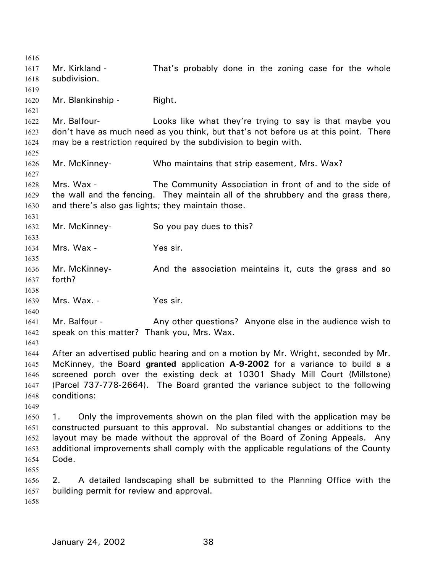1616 1617 1618 1619 1620 1621 1622 1623 1624 1625 1626 1627 1628 1629 1630 1631 1632 1633 1634 1635 1636 1637 1638 1639 1640 1641 1642 1643 1644 1645 1646 1647 1648 1649 1650 1651 1652 1653 1654 1655 1656 1657 1658 Mr. Kirkland - That's probably done in the zoning case for the whole subdivision. Mr. Blankinship - Right. Mr. Balfour- **Looks like what they're trying to say is that maybe you** don't have as much need as you think, but that's not before us at this point. There may be a restriction required by the subdivision to begin with. Mr. McKinney- Who maintains that strip easement, Mrs. Wax? Mrs. Wax - The Community Association in front of and to the side of the wall and the fencing. They maintain all of the shrubbery and the grass there, and there's also gas lights; they maintain those. Mr. McKinney- So you pay dues to this? Mrs. Wax - Yes sir. Mr. McKinney- And the association maintains it, cuts the grass and so forth? Mrs. Wax. - Yes sir. Mr. Balfour - Any other questions? Anyone else in the audience wish to speak on this matter? Thank you, Mrs. Wax. After an advertised public hearing and on a motion by Mr. Wright, seconded by Mr. McKinney, the Board **granted** application **A-9-2002** for a variance to build a a screened porch over the existing deck at 10301 Shady Mill Court (Millstone) (Parcel 737-778-2664). The Board granted the variance subject to the following conditions: 1. Only the improvements shown on the plan filed with the application may be constructed pursuant to this approval. No substantial changes or additions to the layout may be made without the approval of the Board of Zoning Appeals. Any additional improvements shall comply with the applicable regulations of the County Code. 2. A detailed landscaping shall be submitted to the Planning Office with the building permit for review and approval.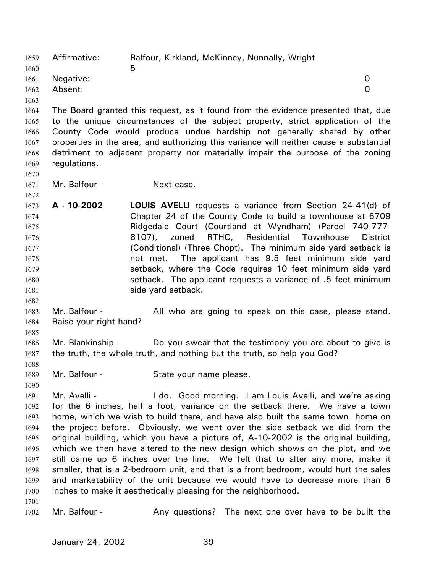Affirmative: Balfour, Kirkland, McKinney, Nunnally, Wright  $\sim$  5 1659 1660 1661 1662 1663 1664 1665 1666 1667 1668 1669 1670 1671 1672 1673 1674 1675 1676 1677 1678 1679 1680 1681 1682 1683 1684 1685 1686 1687 1688 1689 1690 1691 1692 1693 1694 1695 1696 1697 1698 1699 1700 1701 1702 Negative: 0 Absent: 0 The Board granted this request, as it found from the evidence presented that, due to the unique circumstances of the subject property, strict application of the County Code would produce undue hardship not generally shared by other properties in the area, and authorizing this variance will neither cause a substantial detriment to adjacent property nor materially impair the purpose of the zoning regulations. Mr. Balfour - Next case. **A - 10-2002 LOUIS AVELLI** requests a variance from Section 24-41(d) of Chapter 24 of the County Code to build a townhouse at 6709 Ridgedale Court (Courtland at Wyndham) (Parcel 740-777- 8107), zoned RTHC, Residential Townhouse District (Conditional) (Three Chopt). The minimum side yard setback is not met. The applicant has 9.5 feet minimum side yard setback, where the Code requires 10 feet minimum side yard setback. The applicant requests a variance of .5 feet minimum side yard setback. Mr. Balfour - The All who are going to speak on this case, please stand. Raise your right hand? Mr. Blankinship - Do you swear that the testimony you are about to give is the truth, the whole truth, and nothing but the truth, so help you God? Mr. Balfour - State your name please. Mr. Avelli - The Lotter Cood morning. I am Louis Avelli, and we're asking for the 6 inches, half a foot, variance on the setback there. We have a town home, which we wish to build there, and have also built the same town home on the project before. Obviously, we went over the side setback we did from the original building, which you have a picture of, A-10-2002 is the original building, which we then have altered to the new design which shows on the plot, and we still came up 6 inches over the line. We felt that to alter any more, make it smaller, that is a 2-bedroom unit, and that is a front bedroom, would hurt the sales and marketability of the unit because we would have to decrease more than 6 inches to make it aesthetically pleasing for the neighborhood. Mr. Balfour - Any questions? The next one over have to be built the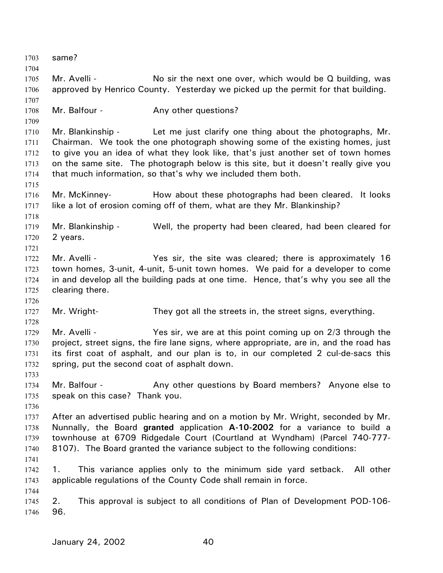1703 same? 1704 1705 1706 1707 1708 1709 1710 1711 1712 1713 1714 1715 1716 1717 1718 1719 1720 1721 1722 1723 1724 1725 1726 1727 1728 1729 1730 1731 1732 1733 1734 1735 1736 1737 1738 1739 1740 1741 1742 1743 1744 1745 1746 Mr. Avelli - No sir the next one over, which would be Q building, was approved by Henrico County. Yesterday we picked up the permit for that building. Mr. Balfour - **Any other questions?** Mr. Blankinship - Let me just clarify one thing about the photographs, Mr. Chairman. We took the one photograph showing some of the existing homes, just to give you an idea of what they look like, that's just another set of town homes on the same site. The photograph below is this site, but it doesn't really give you that much information, so that's why we included them both. Mr. McKinney- How about these photographs had been cleared. It looks like a lot of erosion coming off of them, what are they Mr. Blankinship? Mr. Blankinship - Well, the property had been cleared, had been cleared for 2 years. Mr. Avelli - The Stephan Yes sir, the site was cleared; there is approximately 16 town homes, 3-unit, 4-unit, 5-unit town homes. We paid for a developer to come in and develop all the building pads at one time. Hence, that's why you see all the clearing there. Mr. Wright- They got all the streets in, the street signs, everything. Mr. Avelli - Yes sir, we are at this point coming up on 2/3 through the project, street signs, the fire lane signs, where appropriate, are in, and the road has its first coat of asphalt, and our plan is to, in our completed 2 cul-de-sacs this spring, put the second coat of asphalt down. Mr. Balfour - **Any other questions by Board members?** Anyone else to speak on this case? Thank you. After an advertised public hearing and on a motion by Mr. Wright, seconded by Mr. Nunnally, the Board **granted** application **A-10-2002** for a variance to build a townhouse at 6709 Ridgedale Court (Courtland at Wyndham) (Parcel 740-777- 8107). The Board granted the variance subject to the following conditions: 1. This variance applies only to the minimum side yard setback. All other applicable regulations of the County Code shall remain in force. 2. This approval is subject to all conditions of Plan of Development POD-106- 96.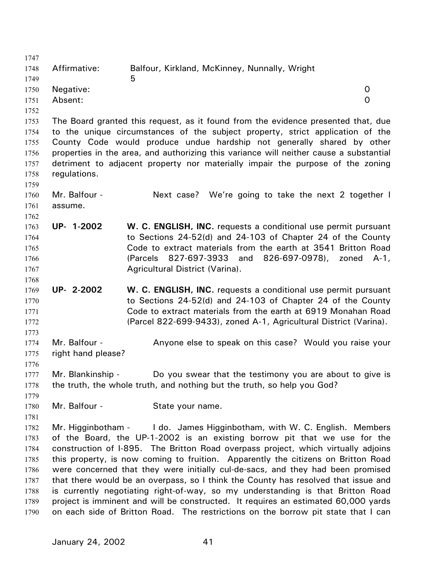| 1747 |                    |                                                                                        |          |
|------|--------------------|----------------------------------------------------------------------------------------|----------|
| 1748 | Affirmative:       | Balfour, Kirkland, McKinney, Nunnally, Wright                                          |          |
| 1749 |                    | 5                                                                                      |          |
| 1750 | Negative:          |                                                                                        | 0        |
| 1751 | Absent:            |                                                                                        | $\Omega$ |
| 1752 |                    |                                                                                        |          |
| 1753 |                    | The Board granted this request, as it found from the evidence presented that, due      |          |
| 1754 |                    | to the unique circumstances of the subject property, strict application of the         |          |
| 1755 |                    | County Code would produce undue hardship not generally shared by other                 |          |
| 1756 |                    | properties in the area, and authorizing this variance will neither cause a substantial |          |
| 1757 |                    | detriment to adjacent property nor materially impair the purpose of the zoning         |          |
| 1758 | regulations.       |                                                                                        |          |
| 1759 |                    |                                                                                        |          |
| 1760 | Mr. Balfour -      | Next case? We're going to take the next 2 together I                                   |          |
| 1761 | assume.            |                                                                                        |          |
| 1762 |                    |                                                                                        |          |
| 1763 | UP- 1-2002         | W. C. ENGLISH, INC. requests a conditional use permit pursuant                         |          |
| 1764 |                    | to Sections 24-52(d) and 24-103 of Chapter 24 of the County                            |          |
| 1765 |                    | Code to extract materials from the earth at 3541 Britton Road                          |          |
| 1766 |                    | 827-697-3933<br>826-697-0978),<br>(Parcels<br>and<br>zoned                             | $A-1$ ,  |
| 1767 |                    | Agricultural District (Varina).                                                        |          |
| 1768 |                    |                                                                                        |          |
| 1769 | UP- 2-2002         | W. C. ENGLISH, INC. requests a conditional use permit pursuant                         |          |
| 1770 |                    | to Sections 24-52(d) and 24-103 of Chapter 24 of the County                            |          |
| 1771 |                    | Code to extract materials from the earth at 6919 Monahan Road                          |          |
| 1772 |                    | (Parcel 822-699-9433), zoned A-1, Agricultural District (Varina).                      |          |
| 1773 |                    |                                                                                        |          |
| 1774 | Mr. Balfour -      | Anyone else to speak on this case? Would you raise your                                |          |
| 1775 | right hand please? |                                                                                        |          |
| 1776 |                    |                                                                                        |          |
| 1777 | Mr. Blankinship -  | Do you swear that the testimony you are about to give is                               |          |
| 1778 |                    | the truth, the whole truth, and nothing but the truth, so help you God?                |          |
| 1779 |                    |                                                                                        |          |
| 1780 | Mr. Balfour -      | State your name.                                                                       |          |
| 1781 |                    |                                                                                        |          |
| 1782 |                    | Mr. Higginbotham - I do. James Higginbotham, with W. C. English. Members               |          |
| 1783 |                    | of the Board, the UP-1-2002 is an existing borrow pit that we use for the              |          |
| 1784 |                    | construction of I-895. The Britton Road overpass project, which virtually adjoins      |          |
| 1785 |                    | this property, is now coming to fruition. Apparently the citizens on Britton Road      |          |
| 1786 |                    | were concerned that they were initially cul-de-sacs, and they had been promised        |          |
| 1787 |                    | that there would be an overpass, so I think the County has resolved that issue and     |          |
| 1788 |                    | is currently negotiating right-of-way, so my understanding is that Britton Road        |          |
| 1789 |                    | project is imminent and will be constructed. It requires an estimated 60,000 yards     |          |
|      |                    |                                                                                        |          |
| 1790 |                    | on each side of Britton Road. The restrictions on the borrow pit state that I can      |          |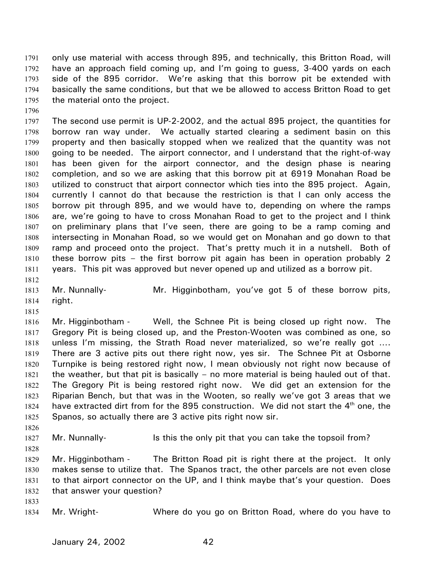only use material with access through 895, and technically, this Britton Road, will have an approach field coming up, and I'm going to guess, 3-400 yards on each side of the 895 corridor. We're asking that this borrow pit be extended with basically the same conditions, but that we be allowed to access Britton Road to get the material onto the project. 1791 1792 1793 1794 1795

1796

1797 1798 1799 1800 1801 1802 1803 1804 1805 1806 1807 1808 1809 1810 1811 The second use permit is UP-2-2002, and the actual 895 project, the quantities for borrow ran way under. We actually started clearing a sediment basin on this property and then basically stopped when we realized that the quantity was not going to be needed. The airport connector, and I understand that the right-of-way has been given for the airport connector, and the design phase is nearing completion, and so we are asking that this borrow pit at 6919 Monahan Road be utilized to construct that airport connector which ties into the 895 project. Again, currently I cannot do that because the restriction is that I can only access the borrow pit through 895, and we would have to, depending on where the ramps are, we're going to have to cross Monahan Road to get to the project and I think on preliminary plans that I've seen, there are going to be a ramp coming and intersecting in Monahan Road, so we would get on Monahan and go down to that ramp and proceed onto the project. That's pretty much it in a nutshell. Both of these borrow pits – the first borrow pit again has been in operation probably 2 years. This pit was approved but never opened up and utilized as a borrow pit.

1812

1813 1814 Mr. Nunnally- Mr. Higginbotham, you've got 5 of these borrow pits, right.

1815

1826

1828

1833

1816 1817 1818 1819 1820 1821 1822 1823 1824 1825 Mr. Higginbotham - Well, the Schnee Pit is being closed up right now. The Gregory Pit is being closed up, and the Preston-Wooten was combined as one, so unless I'm missing, the Strath Road never materialized, so we're really got …. There are 3 active pits out there right now, yes sir. The Schnee Pit at Osborne Turnpike is being restored right now, I mean obviously not right now because of the weather, but that pit is basically – no more material is being hauled out of that. The Gregory Pit is being restored right now. We did get an extension for the Riparian Bench, but that was in the Wooten, so really we've got 3 areas that we have extracted dirt from for the 895 construction. We did not start the  $4<sup>th</sup>$  one, the Spanos, so actually there are 3 active pits right now sir.

1827 Mr. Nunnally- Is this the only pit that you can take the topsoil from?

1829 1830 1831 1832 Mr. Higginbotham - The Britton Road pit is right there at the project. It only makes sense to utilize that. The Spanos tract, the other parcels are not even close to that airport connector on the UP, and I think maybe that's your question. Does that answer your question?

1834 Mr. Wright- Where do you go on Britton Road, where do you have to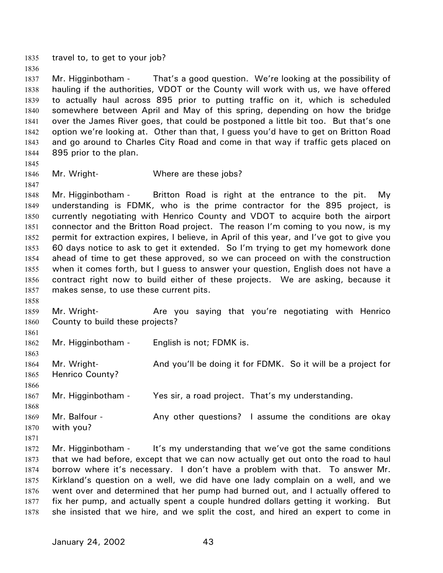1835 travel to, to get to your job?

1837 1838 1839 1840 1841 1842 1843 1844 Mr. Higginbotham - That's a good question. We're looking at the possibility of hauling if the authorities, VDOT or the County will work with us, we have offered to actually haul across 895 prior to putting traffic on it, which is scheduled somewhere between April and May of this spring, depending on how the bridge over the James River goes, that could be postponed a little bit too. But that's one option we're looking at. Other than that, I guess you'd have to get on Britton Road and go around to Charles City Road and come in that way if traffic gets placed on 895 prior to the plan.

1845

1847

1858

1861

1863

1866

1836

1846 Mr. Wright- Where are these jobs?

1848 1849 1850 1851 1852 1853 1854 1855 1856 1857 Mr. Higginbotham - Britton Road is right at the entrance to the pit. My understanding is FDMK, who is the prime contractor for the 895 project, is currently negotiating with Henrico County and VDOT to acquire both the airport connector and the Britton Road project. The reason I'm coming to you now, is my permit for extraction expires, I believe, in April of this year, and I've got to give you 60 days notice to ask to get it extended. So I'm trying to get my homework done ahead of time to get these approved, so we can proceed on with the construction when it comes forth, but I guess to answer your question, English does not have a contract right now to build either of these projects. We are asking, because it makes sense, to use these current pits.

1859 1860 Mr. Wright- **Are you saying that you're negotiating with Henrico** County to build these projects?

1862 Mr. Higginbotham - English is not; FDMK is.

1864 1865 Mr. Wright- **And you'll be doing it for FDMK.** So it will be a project for Henrico County?

1867 Mr. Higginbotham - Yes sir, a road project. That's my understanding.

- 1868 1869 1870 Mr. Balfour - The Any other questions? I assume the conditions are okay with you?
- 1871 1872 1873
	- 1874 1875 1876 1877 1878 Mr. Higginbotham - It's my understanding that we've got the same conditions that we had before, except that we can now actually get out onto the road to haul borrow where it's necessary. I don't have a problem with that. To answer Mr. Kirkland's question on a well, we did have one lady complain on a well, and we went over and determined that her pump had burned out, and I actually offered to fix her pump, and actually spent a couple hundred dollars getting it working. But she insisted that we hire, and we split the cost, and hired an expert to come in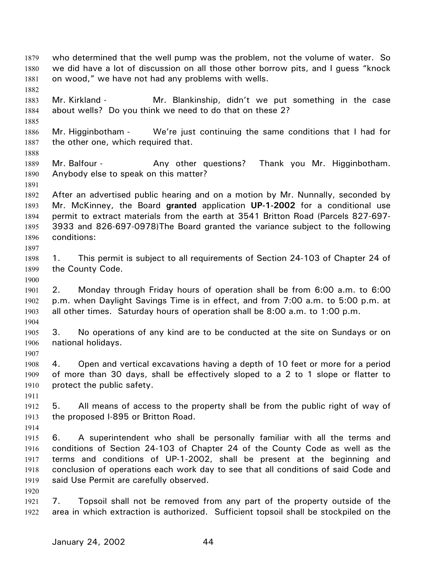who determined that the well pump was the problem, not the volume of water. So we did have a lot of discussion on all those other borrow pits, and I guess "knock on wood," we have not had any problems with wells. 1879 1880 1881 1882 1883 1884 1885 1886 1887 1888 1889 1890 1891 1892 1893 1894 1895 1896 1897 1898 1899 1900 1901 1902 1903 1904 1905 1906 1907 1908 1909 1910 1911 1912 1913 1914 1915 1916 1917 1918 1919 1920 1921 1922 Mr. Kirkland - The Mr. Blankinship, didn't we put something in the case about wells? Do you think we need to do that on these 2? Mr. Higginbotham - We're just continuing the same conditions that I had for the other one, which required that. Mr. Balfour - Any other questions? Thank you Mr. Higginbotham. Anybody else to speak on this matter? After an advertised public hearing and on a motion by Mr. Nunnally, seconded by Mr. McKinney, the Board **granted** application **UP-1-2002** for a conditional use permit to extract materials from the earth at 3541 Britton Road (Parcels 827-697- 3933 and 826-697-0978)The Board granted the variance subject to the following conditions: 1. This permit is subject to all requirements of Section 24-103 of Chapter 24 of the County Code. 2. Monday through Friday hours of operation shall be from 6:00 a.m. to 6:00 p.m. when Daylight Savings Time is in effect, and from 7:00 a.m. to 5:00 p.m. at all other times. Saturday hours of operation shall be 8:00 a.m. to 1:00 p.m. 3. No operations of any kind are to be conducted at the site on Sundays or on national holidays. 4. Open and vertical excavations having a depth of 10 feet or more for a period of more than 30 days, shall be effectively sloped to a 2 to 1 slope or flatter to protect the public safety. 5. All means of access to the property shall be from the public right of way of the proposed I-895 or Britton Road. 6. A superintendent who shall be personally familiar with all the terms and conditions of Section 24-103 of Chapter 24 of the County Code as well as the terms and conditions of UP-1-2002, shall be present at the beginning and conclusion of operations each work day to see that all conditions of said Code and said Use Permit are carefully observed. 7. Topsoil shall not be removed from any part of the property outside of the area in which extraction is authorized. Sufficient topsoil shall be stockpiled on the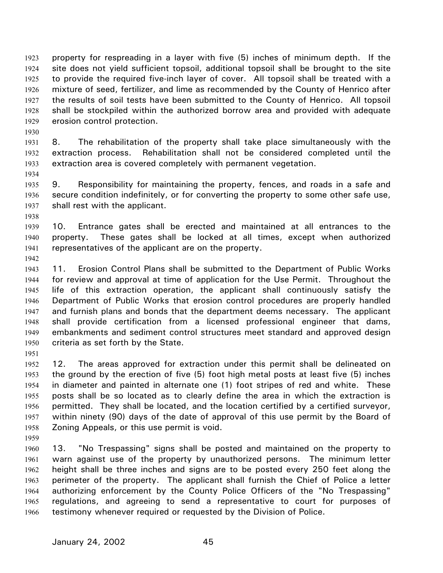property for respreading in a layer with five (5) inches of minimum depth. If the site does not yield sufficient topsoil, additional topsoil shall be brought to the site to provide the required five-inch layer of cover. All topsoil shall be treated with a mixture of seed, fertilizer, and lime as recommended by the County of Henrico after the results of soil tests have been submitted to the County of Henrico. All topsoil shall be stockpiled within the authorized borrow area and provided with adequate erosion control protection. 1923 1924 1925 1926 1927 1928 1929

1930

1931 1932 1933 8. The rehabilitation of the property shall take place simultaneously with the extraction process. Rehabilitation shall not be considered completed until the extraction area is covered completely with permanent vegetation.

1934

1935 1936 1937 9. Responsibility for maintaining the property, fences, and roads in a safe and secure condition indefinitely, or for converting the property to some other safe use, shall rest with the applicant.

1938

1939 1940 1941 10. Entrance gates shall be erected and maintained at all entrances to the property. These gates shall be locked at all times, except when authorized representatives of the applicant are on the property.

1942

1943 1944 1945 1946 1947 1948 1949 1950 11. Erosion Control Plans shall be submitted to the Department of Public Works for review and approval at time of application for the Use Permit. Throughout the life of this extraction operation, the applicant shall continuously satisfy the Department of Public Works that erosion control procedures are properly handled and furnish plans and bonds that the department deems necessary. The applicant shall provide certification from a licensed professional engineer that dams, embankments and sediment control structures meet standard and approved design criteria as set forth by the State.

1951

1952 1953 1954 1955 1956 1957 1958 12. The areas approved for extraction under this permit shall be delineated on the ground by the erection of five (5) foot high metal posts at least five (5) inches in diameter and painted in alternate one (1) foot stripes of red and white. These posts shall be so located as to clearly define the area in which the extraction is permitted. They shall be located, and the location certified by a certified surveyor, within ninety (90) days of the date of approval of this use permit by the Board of Zoning Appeals, or this use permit is void.

1959

1960 1961 1962 1963 1964 1965 1966 13. "No Trespassing" signs shall be posted and maintained on the property to warn against use of the property by unauthorized persons. The minimum letter height shall be three inches and signs are to be posted every 250 feet along the perimeter of the property. The applicant shall furnish the Chief of Police a letter authorizing enforcement by the County Police Officers of the "No Trespassing" regulations, and agreeing to send a representative to court for purposes of testimony whenever required or requested by the Division of Police.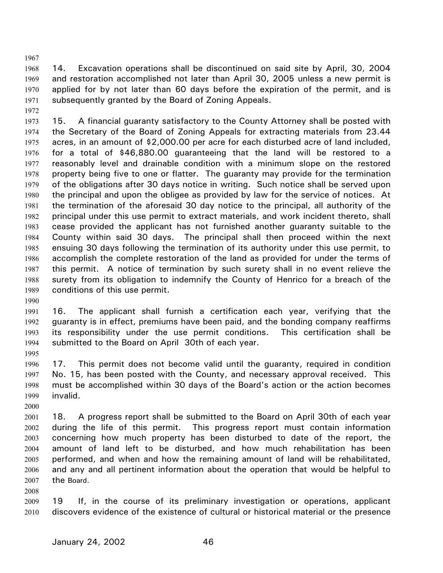1967

1968 1969 1970 1971 14. Excavation operations shall be discontinued on said site by April, 30, 2004 and restoration accomplished not later than April 30, 2005 unless a new permit is applied for by not later than 60 days before the expiration of the permit, and is subsequently granted by the Board of Zoning Appeals.

1972

1973 1974 1975 1976 1977 1978 1979 1980 1981 1982 1983 1984 1985 1986 1987 1988 1989 15. A financial guaranty satisfactory to the County Attorney shall be posted with the Secretary of the Board of Zoning Appeals for extracting materials from 23.44 acres, in an amount of \$2,000.00 per acre for each disturbed acre of land included, for a total of \$46,880.00 guaranteeing that the land will be restored to a reasonably level and drainable condition with a minimum slope on the restored property being five to one or flatter. The guaranty may provide for the termination of the obligations after 30 days notice in writing. Such notice shall be served upon the principal and upon the obligee as provided by law for the service of notices. At the termination of the aforesaid 30 day notice to the principal, all authority of the principal under this use permit to extract materials, and work incident thereto, shall cease provided the applicant has not furnished another guaranty suitable to the County within said 30 days. The principal shall then proceed within the next ensuing 30 days following the termination of its authority under this use permit, to accomplish the complete restoration of the land as provided for under the terms of this permit. A notice of termination by such surety shall in no event relieve the surety from its obligation to indemnify the County of Henrico for a breach of the conditions of this use permit.

1990

1991 1992 1993 1994 16. The applicant shall furnish a certification each year, verifying that the guaranty is in effect, premiums have been paid, and the bonding company reaffirms its responsibility under the use permit conditions. This certification shall be submitted to the Board on April 30th of each year.

1995

1996 1997 1998 1999 17. This permit does not become valid until the guaranty, required in condition No. 15, has been posted with the County, and necessary approval received. This must be accomplished within 30 days of the Board's action or the action becomes invalid.

2000

2001 2002 2003 2004 2005 2006 2007 18. A progress report shall be submitted to the Board on April 30th of each year during the life of this permit. This progress report must contain information concerning how much property has been disturbed to date of the report, the amount of land left to be disturbed, and how much rehabilitation has been performed, and when and how the remaining amount of land will be rehabilitated, and any and all pertinent information about the operation that would be helpful to the Board.

2008

2009 2010 19 If, in the course of its preliminary investigation or operations, applicant discovers evidence of the existence of cultural or historical material or the presence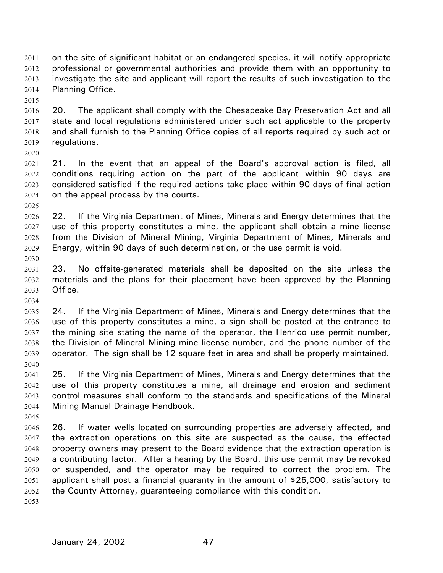on the site of significant habitat or an endangered species, it will notify appropriate professional or governmental authorities and provide them with an opportunity to investigate the site and applicant will report the results of such investigation to the Planning Office. 2011 2012 2013 2014

2015

2020

2016 2017 2018 2019 20. The applicant shall comply with the Chesapeake Bay Preservation Act and all state and local regulations administered under such act applicable to the property and shall furnish to the Planning Office copies of all reports required by such act or regulations.

2021 2022 2023 2024 21. In the event that an appeal of the Board's approval action is filed, all conditions requiring action on the part of the applicant within 90 days are considered satisfied if the required actions take place within 90 days of final action on the appeal process by the courts.

2025

2026 2027 2028 2029 2030 22. If the Virginia Department of Mines, Minerals and Energy determines that the use of this property constitutes a mine, the applicant shall obtain a mine license from the Division of Mineral Mining, Virginia Department of Mines, Minerals and Energy, within 90 days of such determination, or the use permit is void.

2031 2032 2033 23. No offsite-generated materials shall be deposited on the site unless the materials and the plans for their placement have been approved by the Planning Office.

2034

2035 2036 2037 2038 2039 2040 24. If the Virginia Department of Mines, Minerals and Energy determines that the use of this property constitutes a mine, a sign shall be posted at the entrance to the mining site stating the name of the operator, the Henrico use permit number, the Division of Mineral Mining mine license number, and the phone number of the operator. The sign shall be 12 square feet in area and shall be properly maintained.

2041 2042 2043 2044 25. If the Virginia Department of Mines, Minerals and Energy determines that the use of this property constitutes a mine, all drainage and erosion and sediment control measures shall conform to the standards and specifications of the Mineral Mining Manual Drainage Handbook.

2046 2047 2048 2049 2050 2051 2052 26. If water wells located on surrounding properties are adversely affected, and the extraction operations on this site are suspected as the cause, the effected property owners may present to the Board evidence that the extraction operation is a contributing factor. After a hearing by the Board, this use permit may be revoked or suspended, and the operator may be required to correct the problem. The applicant shall post a financial guaranty in the amount of \$25,000, satisfactory to the County Attorney, guaranteeing compliance with this condition.

2053

2045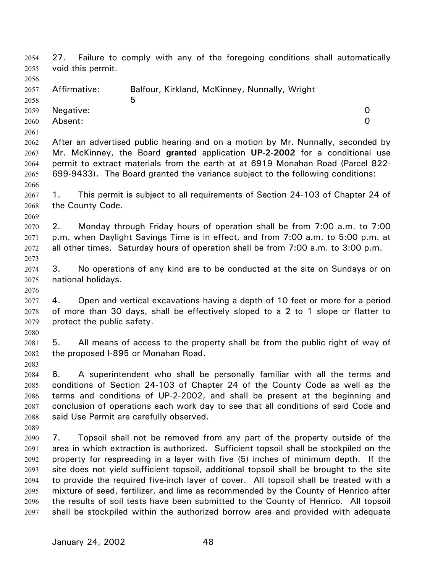27. Failure to comply with any of the foregoing conditions shall automatically void this permit. 2054 2055 2056 2057 2058 2059 2060 2061 2062 2063 2064 2065 2066 2067 2068 2069 2070 2071 2072 2073 2074 2075 2076 2077 2078 2079 2080 2081 2082 2083 2084 2085 2086 2087 2088 2089 2090 2091 2092 2093 2094 2095 2096 2097 Affirmative: Balfour, Kirkland, McKinney, Nunnally, Wright  $\sim$  5 Negative: 0 Absent: 0 After an advertised public hearing and on a motion by Mr. Nunnally, seconded by Mr. McKinney, the Board **granted** application **UP-2-2002** for a conditional use permit to extract materials from the earth at at 6919 Monahan Road (Parcel 822- 699-9433). The Board granted the variance subject to the following conditions: 1. This permit is subject to all requirements of Section 24-103 of Chapter 24 of the County Code. 2. Monday through Friday hours of operation shall be from 7:00 a.m. to 7:00 p.m. when Daylight Savings Time is in effect, and from 7:00 a.m. to 5:00 p.m. at all other times. Saturday hours of operation shall be from 7:00 a.m. to 3:00 p.m. 3. No operations of any kind are to be conducted at the site on Sundays or on national holidays. 4. Open and vertical excavations having a depth of 10 feet or more for a period of more than 30 days, shall be effectively sloped to a 2 to 1 slope or flatter to protect the public safety. 5. All means of access to the property shall be from the public right of way of the proposed I-895 or Monahan Road. 6. A superintendent who shall be personally familiar with all the terms and conditions of Section 24-103 of Chapter 24 of the County Code as well as the terms and conditions of UP-2-2002, and shall be present at the beginning and conclusion of operations each work day to see that all conditions of said Code and said Use Permit are carefully observed. 7. Topsoil shall not be removed from any part of the property outside of the area in which extraction is authorized. Sufficient topsoil shall be stockpiled on the property for respreading in a layer with five (5) inches of minimum depth. If the site does not yield sufficient topsoil, additional topsoil shall be brought to the site to provide the required five-inch layer of cover. All topsoil shall be treated with a mixture of seed, fertilizer, and lime as recommended by the County of Henrico after the results of soil tests have been submitted to the County of Henrico. All topsoil shall be stockpiled within the authorized borrow area and provided with adequate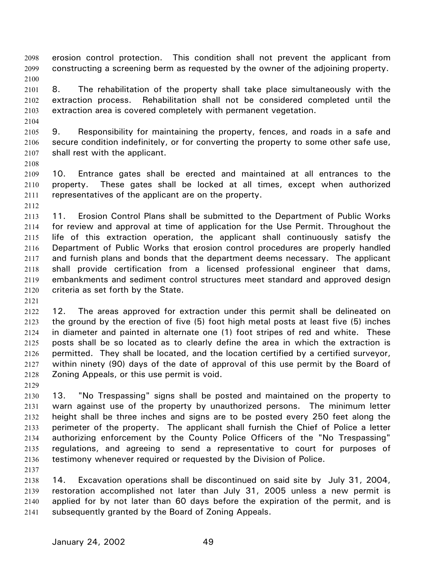erosion control protection. This condition shall not prevent the applicant from constructing a screening berm as requested by the owner of the adjoining property. 2098 2099 2100

2101 2102 2103 8. The rehabilitation of the property shall take place simultaneously with the extraction process. Rehabilitation shall not be considered completed until the extraction area is covered completely with permanent vegetation.

2104

2105 2106 2107 9. Responsibility for maintaining the property, fences, and roads in a safe and secure condition indefinitely, or for converting the property to some other safe use, shall rest with the applicant.

2108

2109 2110 2111 10. Entrance gates shall be erected and maintained at all entrances to the property. These gates shall be locked at all times, except when authorized representatives of the applicant are on the property.

2112

2113 2114 2115 2116 2117 2118 2119 2120 11. Erosion Control Plans shall be submitted to the Department of Public Works for review and approval at time of application for the Use Permit. Throughout the life of this extraction operation, the applicant shall continuously satisfy the Department of Public Works that erosion control procedures are properly handled and furnish plans and bonds that the department deems necessary. The applicant shall provide certification from a licensed professional engineer that dams, embankments and sediment control structures meet standard and approved design criteria as set forth by the State.

2121

2122 2123 2124 2125 2126 2127 2128 12. The areas approved for extraction under this permit shall be delineated on the ground by the erection of five (5) foot high metal posts at least five (5) inches in diameter and painted in alternate one (1) foot stripes of red and white. These posts shall be so located as to clearly define the area in which the extraction is permitted. They shall be located, and the location certified by a certified surveyor, within ninety (90) days of the date of approval of this use permit by the Board of Zoning Appeals, or this use permit is void.

2129

2137

2130 2131 2132 2133 2134 2135 2136 13. "No Trespassing" signs shall be posted and maintained on the property to warn against use of the property by unauthorized persons. The minimum letter height shall be three inches and signs are to be posted every 250 feet along the perimeter of the property. The applicant shall furnish the Chief of Police a letter authorizing enforcement by the County Police Officers of the "No Trespassing" regulations, and agreeing to send a representative to court for purposes of testimony whenever required or requested by the Division of Police.

2138 2139 2140 2141 14. Excavation operations shall be discontinued on said site by July 31, 2004, restoration accomplished not later than July 31, 2005 unless a new permit is applied for by not later than 60 days before the expiration of the permit, and is subsequently granted by the Board of Zoning Appeals.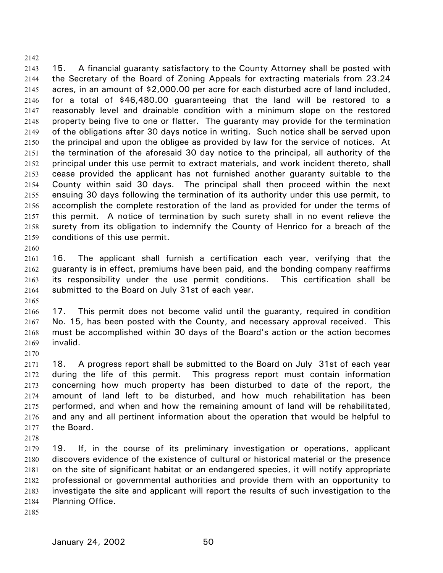2142 2143

2144 2145 2146 2147 2148 2149 2150 2151 2152 2153 2154 2155 2156 2157 2158 2159 15. A financial guaranty satisfactory to the County Attorney shall be posted with the Secretary of the Board of Zoning Appeals for extracting materials from 23.24 acres, in an amount of \$2,000.00 per acre for each disturbed acre of land included, for a total of \$46,480.00 guaranteeing that the land will be restored to a reasonably level and drainable condition with a minimum slope on the restored property being five to one or flatter. The guaranty may provide for the termination of the obligations after 30 days notice in writing. Such notice shall be served upon the principal and upon the obligee as provided by law for the service of notices. At the termination of the aforesaid 30 day notice to the principal, all authority of the principal under this use permit to extract materials, and work incident thereto, shall cease provided the applicant has not furnished another guaranty suitable to the County within said 30 days. The principal shall then proceed within the next ensuing 30 days following the termination of its authority under this use permit, to accomplish the complete restoration of the land as provided for under the terms of this permit. A notice of termination by such surety shall in no event relieve the surety from its obligation to indemnify the County of Henrico for a breach of the conditions of this use permit.

2161 2162 2163 2164 16. The applicant shall furnish a certification each year, verifying that the guaranty is in effect, premiums have been paid, and the bonding company reaffirms its responsibility under the use permit conditions. This certification shall be submitted to the Board on July 31st of each year.

2165

2160

2166 2167 2168 2169 17. This permit does not become valid until the guaranty, required in condition No. 15, has been posted with the County, and necessary approval received. This must be accomplished within 30 days of the Board's action or the action becomes invalid.

2170

2171 2172 2173 2174 2175 2176 2177 18. A progress report shall be submitted to the Board on July 31st of each year during the life of this permit. This progress report must contain information concerning how much property has been disturbed to date of the report, the amount of land left to be disturbed, and how much rehabilitation has been performed, and when and how the remaining amount of land will be rehabilitated, and any and all pertinent information about the operation that would be helpful to the Board.

2178

2179 2180 2181 2182 2183 2184 19. If, in the course of its preliminary investigation or operations, applicant discovers evidence of the existence of cultural or historical material or the presence on the site of significant habitat or an endangered species, it will notify appropriate professional or governmental authorities and provide them with an opportunity to investigate the site and applicant will report the results of such investigation to the Planning Office.

2185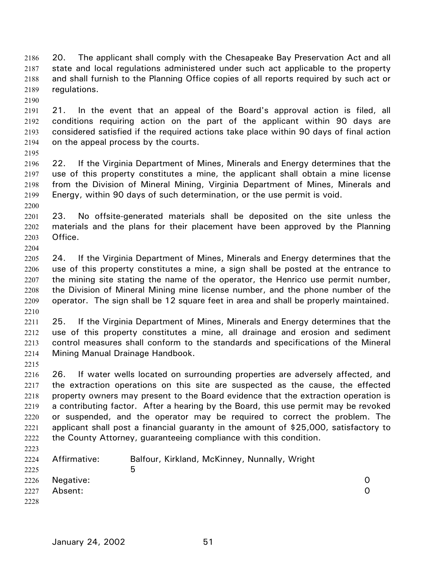20. The applicant shall comply with the Chesapeake Bay Preservation Act and all state and local regulations administered under such act applicable to the property and shall furnish to the Planning Office copies of all reports required by such act or regulations. 2186 2187 2188 2189

2190

2195

2200

2204

2215

2223

2191 2192 2193 2194 21. In the event that an appeal of the Board's approval action is filed, all conditions requiring action on the part of the applicant within 90 days are considered satisfied if the required actions take place within 90 days of final action on the appeal process by the courts.

2196 2197 2198 2199 22. If the Virginia Department of Mines, Minerals and Energy determines that the use of this property constitutes a mine, the applicant shall obtain a mine license from the Division of Mineral Mining, Virginia Department of Mines, Minerals and Energy, within 90 days of such determination, or the use permit is void.

2201 2202 2203 23. No offsite-generated materials shall be deposited on the site unless the materials and the plans for their placement have been approved by the Planning Office.

2205 2206 2207 2208 2209 2210 24. If the Virginia Department of Mines, Minerals and Energy determines that the use of this property constitutes a mine, a sign shall be posted at the entrance to the mining site stating the name of the operator, the Henrico use permit number, the Division of Mineral Mining mine license number, and the phone number of the operator. The sign shall be 12 square feet in area and shall be properly maintained.

2211 2212 2213 2214 25. If the Virginia Department of Mines, Minerals and Energy determines that the use of this property constitutes a mine, all drainage and erosion and sediment control measures shall conform to the standards and specifications of the Mineral Mining Manual Drainage Handbook.

2216 2217 2218 2219 2220 2221 2222 26. If water wells located on surrounding properties are adversely affected, and the extraction operations on this site are suspected as the cause, the effected property owners may present to the Board evidence that the extraction operation is a contributing factor. After a hearing by the Board, this use permit may be revoked or suspended, and the operator may be required to correct the problem. The applicant shall post a financial guaranty in the amount of \$25,000, satisfactory to the County Attorney, guaranteeing compliance with this condition.

2224 2225 2226 2227 2228 Affirmative: Balfour, Kirkland, McKinney, Nunnally, Wright  $\sim$  5 Negative: 0 Absent: 0